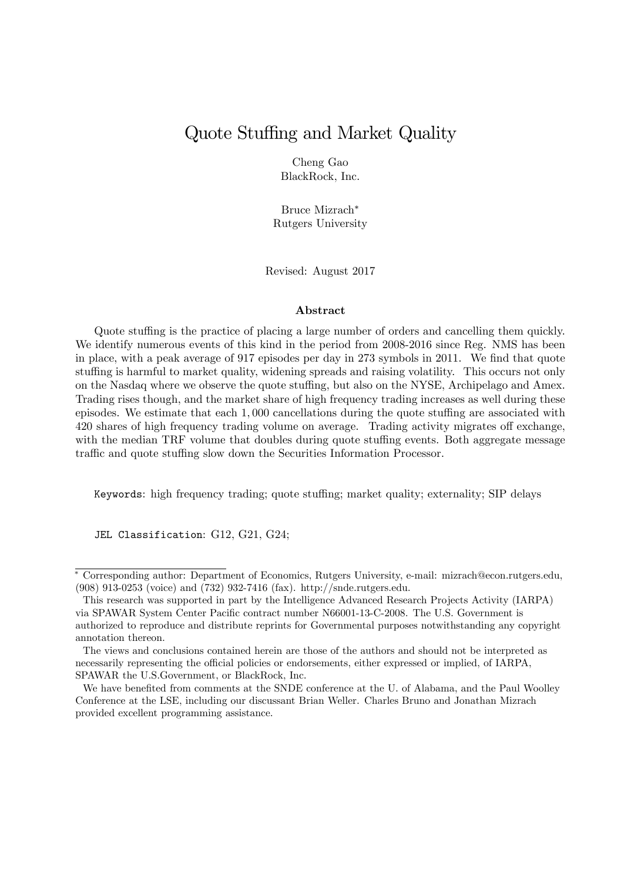# Quote Stuffing and Market Quality

Cheng Gao BlackRock, Inc.

Bruce Mizrach Rutgers University

Revised: August 2017

#### Abstract

Quote stuffing is the practice of placing a large number of orders and cancelling them quickly. We identify numerous events of this kind in the period from 2008-2016 since Reg. NMS has been in place, with a peak average of 917 episodes per day in 273 symbols in 2011. We find that quote stuffing is harmful to market quality, widening spreads and raising volatility. This occurs not only on the Nasdaq where we observe the quote stuffing, but also on the NYSE, Archipelago and Amex. Trading rises though, and the market share of high frequency trading increases as well during these episodes. We estimate that each  $1,000$  cancellations during the quote stuffing are associated with 420 shares of high frequency trading volume on average. Trading activity migrates off exchange, with the median TRF volume that doubles during quote stuffing events. Both aggregate message traffic and quote stuffing slow down the Securities Information Processor.

Keywords: high frequency trading; quote stuffing; market quality; externality; SIP delays

JEL Classification: G12, G21, G24;

Corresponding author: Department of Economics, Rutgers University, e-mail: mizrach@econ.rutgers.edu, (908) 913-0253 (voice) and (732) 932-7416 (fax). http://snde.rutgers.edu.

This research was supported in part by the Intelligence Advanced Research Projects Activity (IARPA) via SPAWAR System Center Pacific contract number N66001-13-C-2008. The U.S. Government is authorized to reproduce and distribute reprints for Governmental purposes notwithstanding any copyright annotation thereon.

The views and conclusions contained herein are those of the authors and should not be interpreted as necessarily representing the official policies or endorsements, either expressed or implied, of IARPA, SPAWAR the U.S.Government, or BlackRock, Inc.

We have benefited from comments at the SNDE conference at the U. of Alabama, and the Paul Woolley Conference at the LSE, including our discussant Brian Weller. Charles Bruno and Jonathan Mizrach provided excellent programming assistance.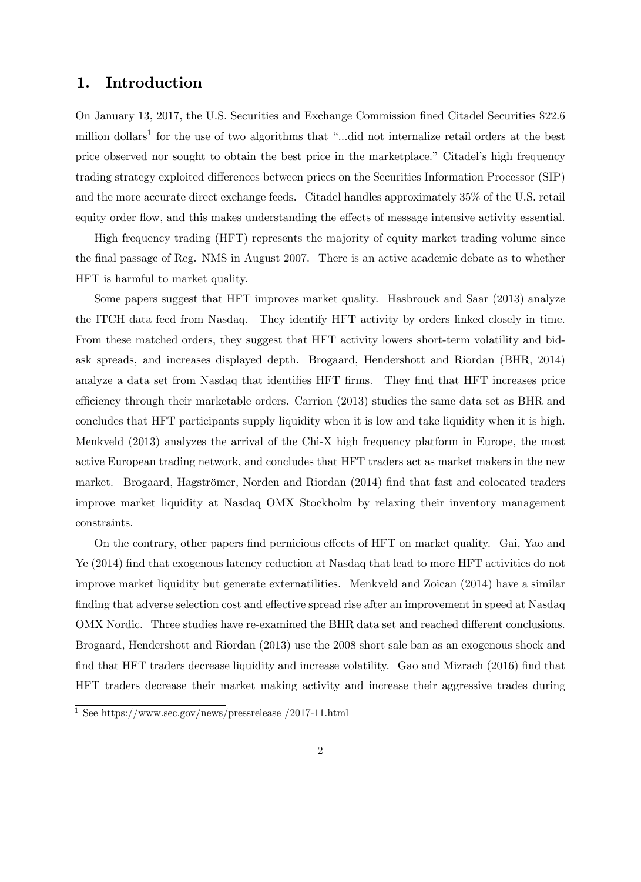## 1. Introduction

On January 13, 2017, the U.S. Securities and Exchange Commission Öned Citadel Securities \$22:6 million dollars<sup>1</sup> for the use of two algorithms that "...did not internalize retail orders at the best price observed nor sought to obtain the best price in the marketplace." Citadel's high frequency trading strategy exploited differences between prices on the Securities Information Processor (SIP) and the more accurate direct exchange feeds. Citadel handles approximately 35% of the U.S. retail equity order flow, and this makes understanding the effects of message intensive activity essential.

High frequency trading (HFT) represents the majority of equity market trading volume since the final passage of Reg. NMS in August 2007. There is an active academic debate as to whether HFT is harmful to market quality.

Some papers suggest that HFT improves market quality. Hasbrouck and Saar (2013) analyze the ITCH data feed from Nasdaq. They identify HFT activity by orders linked closely in time. From these matched orders, they suggest that HFT activity lowers short-term volatility and bidask spreads, and increases displayed depth. Brogaard, Hendershott and Riordan (BHR, 2014) analyze a data set from Nasdaq that identifies HFT firms. They find that HFT increases price efficiency through their marketable orders. Carrion (2013) studies the same data set as BHR and concludes that HFT participants supply liquidity when it is low and take liquidity when it is high. Menkveld (2013) analyzes the arrival of the Chi-X high frequency platform in Europe, the most active European trading network, and concludes that HFT traders act as market makers in the new market. Brogaard, Hagströmer, Norden and Riordan (2014) find that fast and colocated traders improve market liquidity at Nasdaq OMX Stockholm by relaxing their inventory management constraints.

On the contrary, other papers find pernicious effects of HFT on market quality. Gai, Yao and Ye (2014) find that exogenous latency reduction at Nasdaq that lead to more HFT activities do not improve market liquidity but generate externatilities. Menkveld and Zoican (2014) have a similar finding that adverse selection cost and effective spread rise after an improvement in speed at Nasdaq OMX Nordic. Three studies have re-examined the BHR data set and reached different conclusions. Brogaard, Hendershott and Riordan (2013) use the 2008 short sale ban as an exogenous shock and find that HFT traders decrease liquidity and increase volatility. Gao and Mizrach (2016) find that HFT traders decrease their market making activity and increase their aggressive trades during

<sup>1</sup> See https://www.sec.gov/news/pressrelease /2017-11.html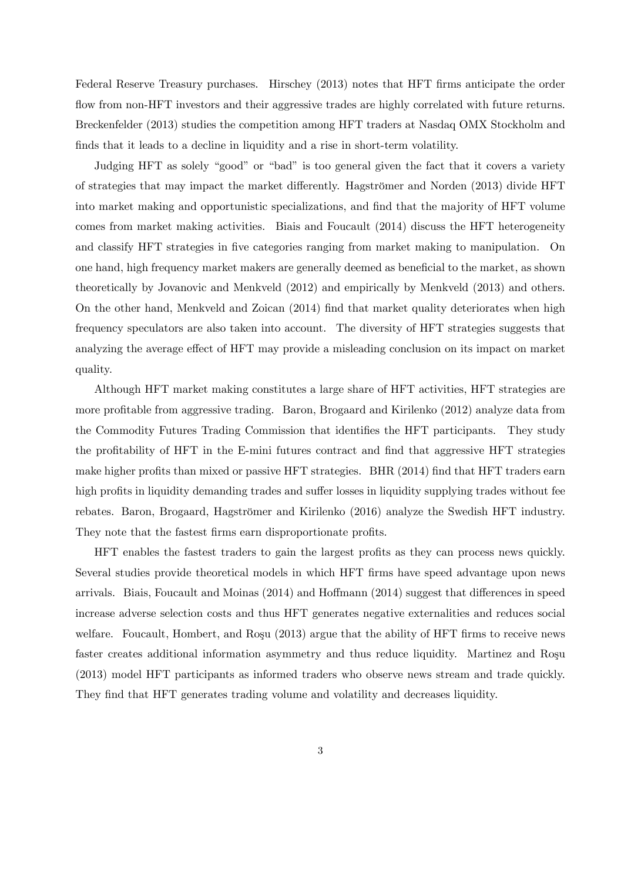Federal Reserve Treasury purchases. Hirschey (2013) notes that HFT firms anticipate the order flow from non-HFT investors and their aggressive trades are highly correlated with future returns. Breckenfelder (2013) studies the competition among HFT traders at Nasdaq OMX Stockholm and finds that it leads to a decline in liquidity and a rise in short-term volatility.

Judging HFT as solely "good" or "bad" is too general given the fact that it covers a variety of strategies that may impact the market differently. Hagströmer and Norden (2013) divide HFT into market making and opportunistic specializations, and find that the majority of HFT volume comes from market making activities. Biais and Foucault (2014) discuss the HFT heterogeneity and classify HFT strategies in five categories ranging from market making to manipulation. On one hand, high frequency market makers are generally deemed as beneÖcial to the market, as shown theoretically by Jovanovic and Menkveld (2012) and empirically by Menkveld (2013) and others. On the other hand, Menkveld and Zoican (2014) Önd that market quality deteriorates when high frequency speculators are also taken into account. The diversity of HFT strategies suggests that analyzing the average effect of HFT may provide a misleading conclusion on its impact on market quality.

Although HFT market making constitutes a large share of HFT activities, HFT strategies are more profitable from aggressive trading. Baron, Brogaard and Kirilenko (2012) analyze data from the Commodity Futures Trading Commission that identifies the HFT participants. They study the profitability of HFT in the E-mini futures contract and find that aggressive HFT strategies make higher profits than mixed or passive HFT strategies. BHR (2014) find that HFT traders earn high profits in liquidity demanding trades and suffer losses in liquidity supplying trades without fee rebates. Baron, Brogaard, Hagströmer and Kirilenko (2016) analyze the Swedish HFT industry. They note that the fastest firms earn disproportionate profits.

HFT enables the fastest traders to gain the largest profits as they can process news quickly. Several studies provide theoretical models in which HFT Örms have speed advantage upon news arrivals. Biais, Foucault and Moinas  $(2014)$  and Hoffmann  $(2014)$  suggest that differences in speed increase adverse selection costs and thus HFT generates negative externalities and reduces social welfare. Foucault, Hombert, and Roşu  $(2013)$  argue that the ability of HFT firms to receive news faster creates additional information asymmetry and thus reduce liquidity. Martinez and Rosu (2013) model HFT participants as informed traders who observe news stream and trade quickly. They find that HFT generates trading volume and volatility and decreases liquidity.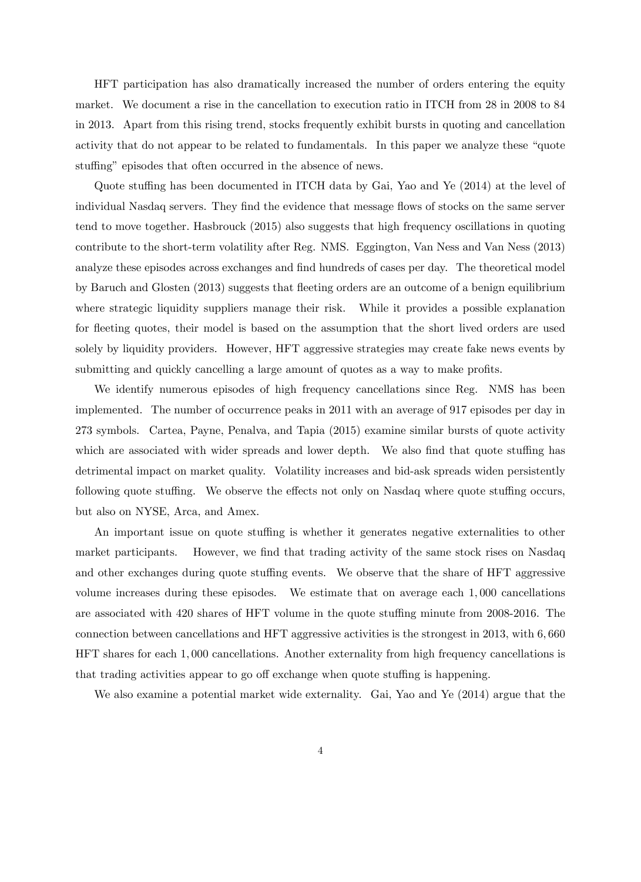HFT participation has also dramatically increased the number of orders entering the equity market. We document a rise in the cancellation to execution ratio in ITCH from 28 in 2008 to 84 in 2013. Apart from this rising trend, stocks frequently exhibit bursts in quoting and cancellation activity that do not appear to be related to fundamentals. In this paper we analyze these "quote" stuffing" episodes that often occurred in the absence of news.

Quote stuffing has been documented in ITCH data by Gai, Yao and Ye (2014) at the level of individual Nasdaq servers. They find the evidence that message flows of stocks on the same server tend to move together. Hasbrouck (2015) also suggests that high frequency oscillations in quoting contribute to the short-term volatility after Reg. NMS. Eggington, Van Ness and Van Ness (2013) analyze these episodes across exchanges and find hundreds of cases per day. The theoretical model by Baruch and Glosten (2013) suggests that áeeting orders are an outcome of a benign equilibrium where strategic liquidity suppliers manage their risk. While it provides a possible explanation for fleeting quotes, their model is based on the assumption that the short lived orders are used solely by liquidity providers. However, HFT aggressive strategies may create fake news events by submitting and quickly cancelling a large amount of quotes as a way to make profits.

We identify numerous episodes of high frequency cancellations since Reg. NMS has been implemented. The number of occurrence peaks in 2011 with an average of 917 episodes per day in 273 symbols. Cartea, Payne, Penalva, and Tapia (2015) examine similar bursts of quote activity which are associated with wider spreads and lower depth. We also find that quote stuffing has detrimental impact on market quality. Volatility increases and bid-ask spreads widen persistently following quote stuffing. We observe the effects not only on Nasdaq where quote stuffing occurs, but also on NYSE, Arca, and Amex.

An important issue on quote stuffing is whether it generates negative externalities to other market participants. However, we find that trading activity of the same stock rises on Nasdaq and other exchanges during quote stuffing events. We observe that the share of HFT aggressive volume increases during these episodes. We estimate that on average each 1; 000 cancellations are associated with 420 shares of HFT volume in the quote stuffing minute from 2008-2016. The connection between cancellations and HFT aggressive activities is the strongest in 2013, with 6; 660 HFT shares for each 1; 000 cancellations. Another externality from high frequency cancellations is that trading activities appear to go off exchange when quote stuffing is happening.

We also examine a potential market wide externality. Gai, Yao and Ye (2014) argue that the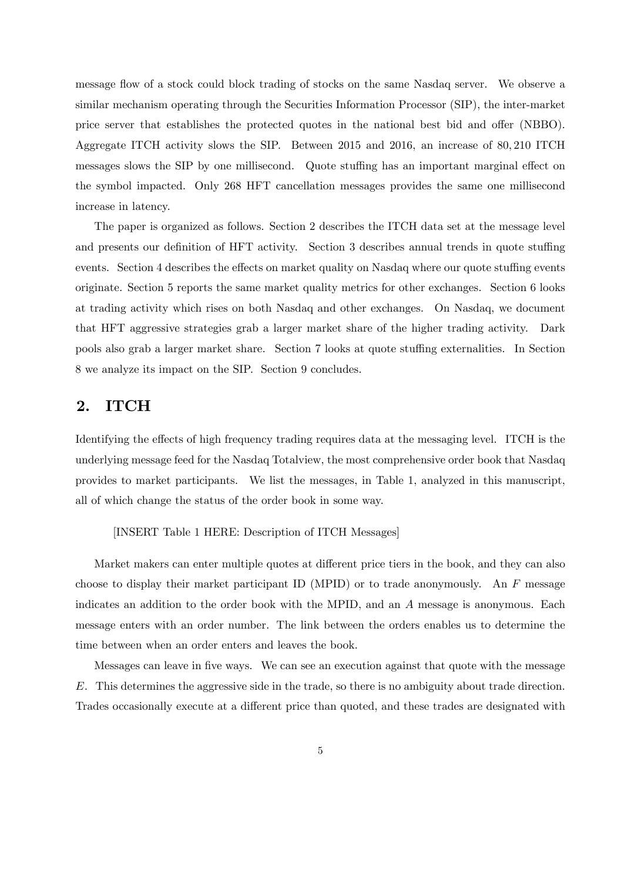message flow of a stock could block trading of stocks on the same Nasdaq server. We observe a similar mechanism operating through the Securities Information Processor (SIP), the inter-market price server that establishes the protected quotes in the national best bid and offer (NBBO). Aggregate ITCH activity slows the SIP. Between 2015 and 2016, an increase of 80; 210 ITCH messages slows the SIP by one millisecond. Quote stuffing has an important marginal effect on the symbol impacted. Only 268 HFT cancellation messages provides the same one millisecond increase in latency.

The paper is organized as follows. Section 2 describes the ITCH data set at the message level and presents our definition of HFT activity. Section 3 describes annual trends in quote stuffing events. Section 4 describes the effects on market quality on Nasdaq where our quote stuffing events originate. Section 5 reports the same market quality metrics for other exchanges. Section 6 looks at trading activity which rises on both Nasdaq and other exchanges. On Nasdaq, we document that HFT aggressive strategies grab a larger market share of the higher trading activity. Dark pools also grab a larger market share. Section 7 looks at quote stuffing externalities. In Section 8 we analyze its impact on the SIP. Section 9 concludes.

## 2. ITCH

Identifying the effects of high frequency trading requires data at the messaging level. ITCH is the underlying message feed for the Nasdaq Totalview, the most comprehensive order book that Nasdaq provides to market participants. We list the messages, in Table 1, analyzed in this manuscript, all of which change the status of the order book in some way.

[INSERT Table 1 HERE: Description of ITCH Messages]

Market makers can enter multiple quotes at different price tiers in the book, and they can also choose to display their market participant ID (MPID) or to trade anonymously. An  $F$  message indicates an addition to the order book with the MPID, and an A message is anonymous. Each message enters with an order number. The link between the orders enables us to determine the time between when an order enters and leaves the book.

Messages can leave in five ways. We can see an execution against that quote with the message E. This determines the aggressive side in the trade, so there is no ambiguity about trade direction. Trades occasionally execute at a different price than quoted, and these trades are designated with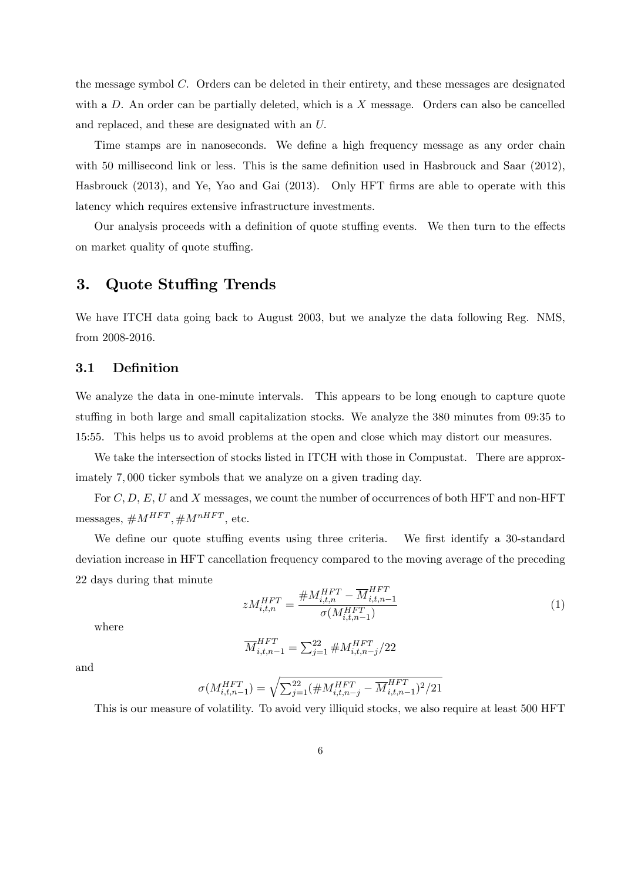the message symbol C: Orders can be deleted in their entirety, and these messages are designated with a  $D$ . An order can be partially deleted, which is a  $X$  message. Orders can also be cancelled and replaced, and these are designated with an U:

Time stamps are in nanoseconds. We define a high frequency message as any order chain with 50 millisecond link or less. This is the same definition used in Hasbrouck and Saar  $(2012)$ , Hasbrouck (2013), and Ye, Yao and Gai (2013). Only HFT firms are able to operate with this latency which requires extensive infrastructure investments.

Our analysis proceeds with a definition of quote stuffing events. We then turn to the effects on market quality of quote stuffing.

## 3. Quote Stuffing Trends

We have ITCH data going back to August 2003, but we analyze the data following Reg. NMS, from 2008-2016.

### 3.1 DeÖnition

We analyze the data in one-minute intervals. This appears to be long enough to capture quote stuffing in both large and small capitalization stocks. We analyze the 380 minutes from 09:35 to 15:55. This helps us to avoid problems at the open and close which may distort our measures.

We take the intersection of stocks listed in ITCH with those in Compustat. There are approximately 7; 000 ticker symbols that we analyze on a given trading day.

For  $C, D, E, U$  and X messages, we count the number of occurrences of both HFT and non-HFT  $\text{messages}, \# M^{HFT}, \# M^{nHFT}, \text{etc.}$ 

We define our quote stuffing events using three criteria. We first identify a 30-standard deviation increase in HFT cancellation frequency compared to the moving average of the preceding 22 days during that minute

$$
zM_{i,t,n}^{HFT} = \frac{\#M_{i,t,n}^{HFT} - \overline{M}_{i,t,n-1}^{HFT}}{\sigma(M_{i,t,n-1}^{HFT})}
$$
(1)

where

$$
\overline{M}^{HFT}_{i,t,n-1} = \sum_{j=1}^{22} \# M^{HFT}_{i,t,n-j}/22
$$

and

$$
\sigma(M_{i,t,n-1}^{HFT}) = \sqrt{\sum_{j=1}^{22} (\#M_{i,t,n-j}^{HFT} - \overline{M}_{i,t,n-1}^{HFT})^2/21}
$$

This is our measure of volatility. To avoid very illiquid stocks, we also require at least 500 HFT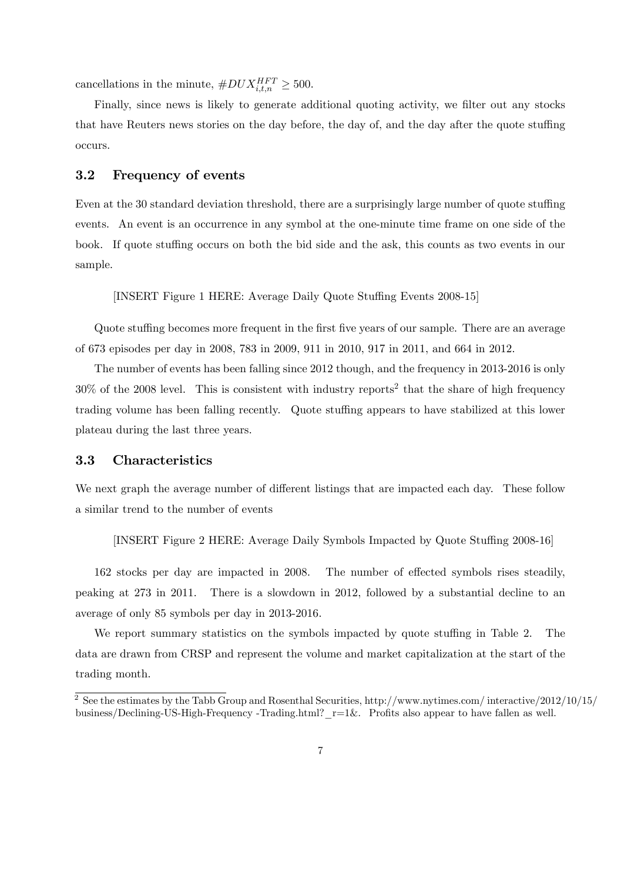cancellations in the minute,  $\#DUX_{i,t,n}^{HFT} \geq 500$ .

Finally, since news is likely to generate additional quoting activity, we filter out any stocks that have Reuters news stories on the day before, the day of, and the day after the quote stuffing occurs.

### 3.2 Frequency of events

Even at the 30 standard deviation threshold, there are a surprisingly large number of quote stuffing events. An event is an occurrence in any symbol at the one-minute time frame on one side of the book. If quote stuffing occurs on both the bid side and the ask, this counts as two events in our sample.

[INSERT Figure 1 HERE: Average Daily Quote Stuffing Events 2008-15]

Quote stuffing becomes more frequent in the first five years of our sample. There are an average of 673 episodes per day in 2008, 783 in 2009, 911 in 2010, 917 in 2011, and 664 in 2012.

The number of events has been falling since 2012 though, and the frequency in 2013-2016 is only  $30\%$  of the 2008 level. This is consistent with industry reports<sup>2</sup> that the share of high frequency trading volume has been falling recently. Quote stuffing appears to have stabilized at this lower plateau during the last three years.

### 3.3 Characteristics

We next graph the average number of different listings that are impacted each day. These follow a similar trend to the number of events

[INSERT Figure 2 HERE: Average Daily Symbols Impacted by Quote Stuffing 2008-16]

162 stocks per day are impacted in 2008. The number of effected symbols rises steadily, peaking at 273 in 2011. There is a slowdown in 2012, followed by a substantial decline to an average of only 85 symbols per day in 2013-2016.

We report summary statistics on the symbols impacted by quote stuffing in Table 2. The data are drawn from CRSP and represent the volume and market capitalization at the start of the trading month.

 $\frac{2}{3}$  See the estimates by the Tabb Group and Rosenthal Securities, http://www.nytimes.com/ interactive/2012/10/15/ business/Declining-US-High-Frequency -Trading.html?  $r=1\&$ . Profits also appear to have fallen as well.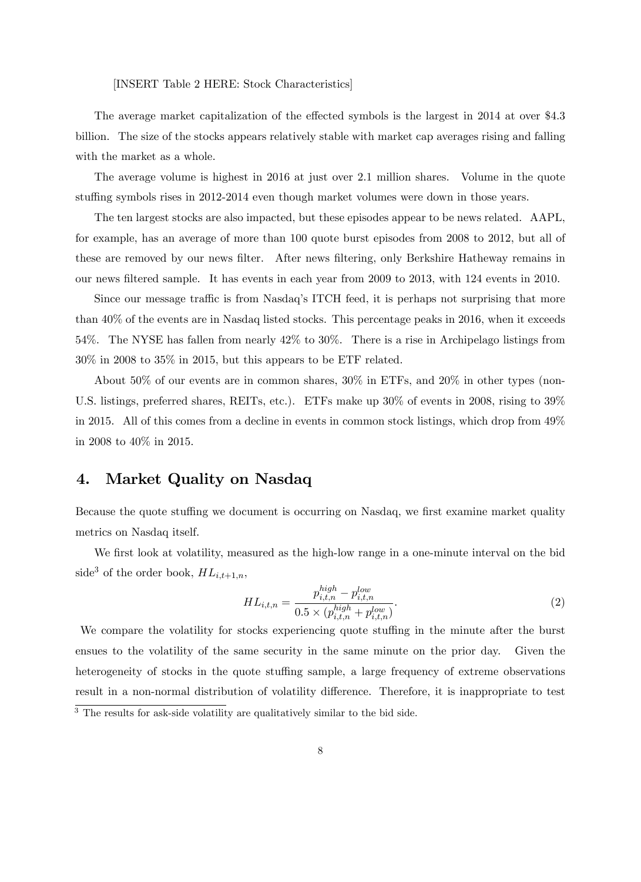[INSERT Table 2 HERE: Stock Characteristics]

The average market capitalization of the effected symbols is the largest in 2014 at over \$4.3 billion. The size of the stocks appears relatively stable with market cap averages rising and falling with the market as a whole.

The average volume is highest in 2016 at just over 2:1 million shares. Volume in the quote stuffing symbols rises in 2012-2014 even though market volumes were down in those years.

The ten largest stocks are also impacted, but these episodes appear to be news related. AAPL, for example, has an average of more than 100 quote burst episodes from 2008 to 2012, but all of these are removed by our news filter. After news filtering, only Berkshire Hatheway remains in our news Öltered sample. It has events in each year from 2009 to 2013, with 124 events in 2010.

Since our message traffic is from Nasdaq's ITCH feed, it is perhaps not surprising that more than 40% of the events are in Nasdaq listed stocks. This percentage peaks in 2016, when it exceeds 54%. The NYSE has fallen from nearly 42% to 30%. There is a rise in Archipelago listings from 30% in 2008 to 35% in 2015, but this appears to be ETF related.

About 50% of our events are in common shares, 30% in ETFs, and 20% in other types (non-U.S. listings, preferred shares, REITs, etc.). ETFs make up 30% of events in 2008, rising to 39% in 2015. All of this comes from a decline in events in common stock listings, which drop from 49% in 2008 to 40% in 2015.

## 4. Market Quality on Nasdaq

Because the quote stuffing we document is occurring on Nasdaq, we first examine market quality metrics on Nasdaq itself.

We first look at volatility, measured as the high-low range in a one-minute interval on the bid side<sup>3</sup> of the order book,  $HL_{i,t+1,n}$ ,

$$
HL_{i,t,n} = \frac{p_{i,t,n}^{high} - p_{i,t,n}^{low}}{0.5 \times (p_{i,t,n}^{high} + p_{i,t,n}^{low})}.
$$
\n(2)

We compare the volatility for stocks experiencing quote stuffing in the minute after the burst ensues to the volatility of the same security in the same minute on the prior day. Given the heterogeneity of stocks in the quote stuffing sample, a large frequency of extreme observations result in a non-normal distribution of volatility difference. Therefore, it is inappropriate to test <sup>3</sup> The results for ask-side volatility are qualitatively similar to the bid side.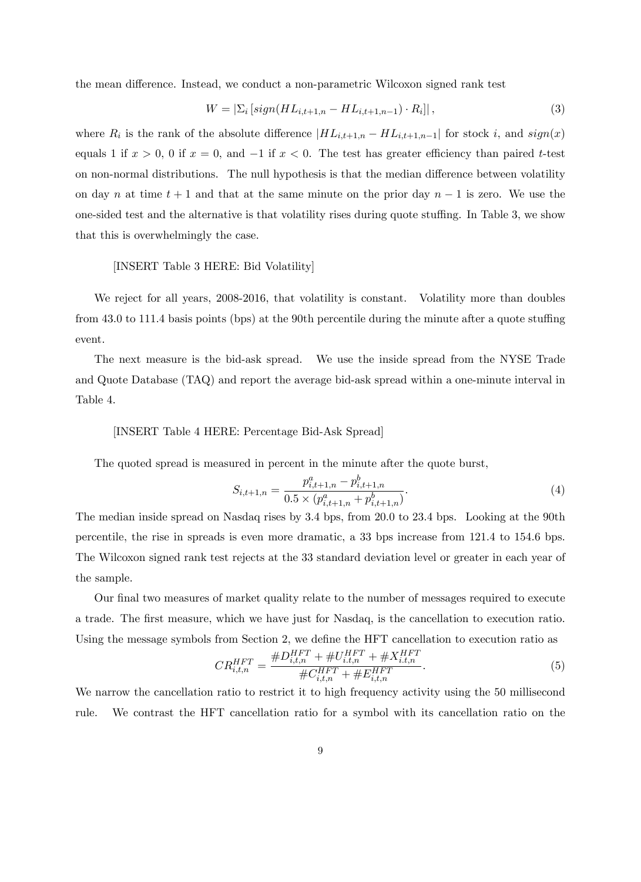the mean difference. Instead, we conduct a non-parametric Wilcoxon signed rank test

$$
W = \left| \sum_{i} \left[ sign(HL_{i,t+1,n} - HL_{i,t+1,n-1}) \cdot R_i \right] \right|,\tag{3}
$$

where  $R_i$  is the rank of the absolute difference  $|HL_{i,t+1,n}-HL_{i,t+1,n-1}|$  for stock i, and  $sign(x)$ equals 1 if  $x > 0$ , 0 if  $x = 0$ , and  $-1$  if  $x < 0$ . The test has greater efficiency than paired t-test on non-normal distributions. The null hypothesis is that the median difference between volatility on day n at time  $t + 1$  and that at the same minute on the prior day  $n - 1$  is zero. We use the one-sided test and the alternative is that volatility rises during quote stuffing. In Table 3, we show that this is overwhelmingly the case.

#### [INSERT Table 3 HERE: Bid Volatility]

We reject for all years, 2008-2016, that volatility is constant. Volatility more than doubles from  $43.0$  to  $111.4$  basis points (bps) at the 90th percentile during the minute after a quote stuffing event.

The next measure is the bid-ask spread. We use the inside spread from the NYSE Trade and Quote Database (TAQ) and report the average bid-ask spread within a one-minute interval in Table 4.

#### [INSERT Table 4 HERE: Percentage Bid-Ask Spread]

The quoted spread is measured in percent in the minute after the quote burst,

$$
S_{i,t+1,n} = \frac{p_{i,t+1,n}^a - p_{i,t+1,n}^b}{0.5 \times (p_{i,t+1,n}^a + p_{i,t+1,n}^b)}.
$$
\n
$$
(4)
$$

The median inside spread on Nasdaq rises by 3.4 bps, from 20.0 to 23.4 bps. Looking at the 90th percentile, the rise in spreads is even more dramatic, a 33 bps increase from 121:4 to 154:6 bps. The Wilcoxon signed rank test rejects at the 33 standard deviation level or greater in each year of the sample.

Our final two measures of market quality relate to the number of messages required to execute a trade. The Örst measure, which we have just for Nasdaq, is the cancellation to execution ratio. Using the message symbols from Section 2, we define the HFT cancellation to execution ratio as

$$
CR_{i,t,n}^{HFT} = \frac{\#D_{i,t,n}^{HFT} + \#U_{i,t,n}^{HFT} + \#X_{i,t,n}^{HFT}}{\#C_{i,t,n}^{HFT} + \#E_{i,t,n}^{HFT}}.
$$
\n
$$
(5)
$$

We narrow the cancellation ratio to restrict it to high frequency activity using the 50 millisecond rule. We contrast the HFT cancellation ratio for a symbol with its cancellation ratio on the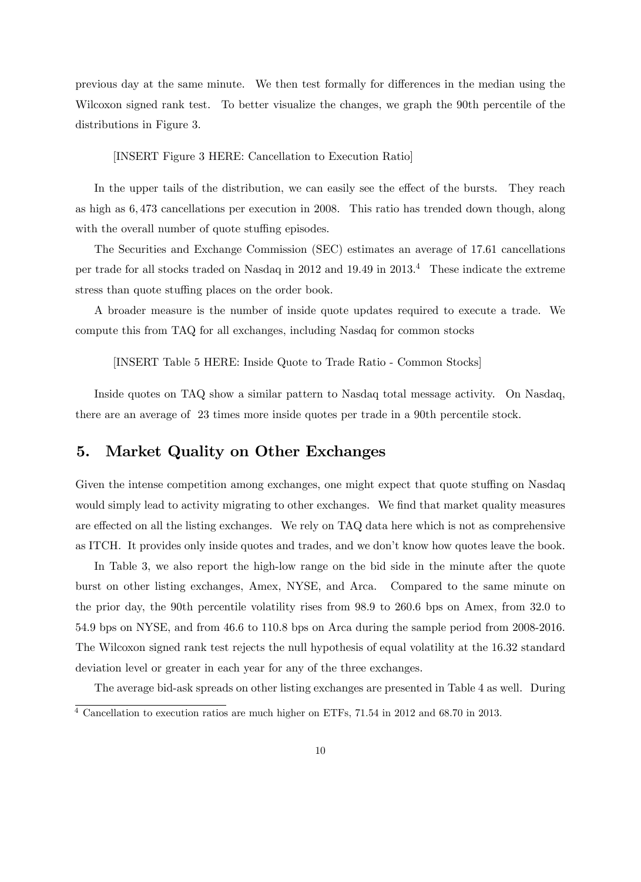previous day at the same minute. We then test formally for differences in the median using the Wilcoxon signed rank test. To better visualize the changes, we graph the 90th percentile of the distributions in Figure 3.

[INSERT Figure 3 HERE: Cancellation to Execution Ratio]

In the upper tails of the distribution, we can easily see the effect of the bursts. They reach as high as 6; 473 cancellations per execution in 2008. This ratio has trended down though, along with the overall number of quote stuffing episodes.

The Securities and Exchange Commission (SEC) estimates an average of 17:61 cancellations per trade for all stocks traded on Nasdaq in 2012 and 19:49 in 2013.<sup>4</sup> These indicate the extreme stress than quote stuffing places on the order book.

A broader measure is the number of inside quote updates required to execute a trade. We compute this from TAQ for all exchanges, including Nasdaq for common stocks

[INSERT Table 5 HERE: Inside Quote to Trade Ratio - Common Stocks]

Inside quotes on TAQ show a similar pattern to Nasdaq total message activity. On Nasdaq, there are an average of 23 times more inside quotes per trade in a 90th percentile stock.

## 5. Market Quality on Other Exchanges

Given the intense competition among exchanges, one might expect that quote stuffing on Nasdaq would simply lead to activity migrating to other exchanges. We find that market quality measures are effected on all the listing exchanges. We rely on TAQ data here which is not as comprehensive as ITCH. It provides only inside quotes and trades, and we don't know how quotes leave the book.

In Table 3, we also report the high-low range on the bid side in the minute after the quote burst on other listing exchanges, Amex, NYSE, and Arca. Compared to the same minute on the prior day, the 90th percentile volatility rises from 98:9 to 260:6 bps on Amex, from 32:0 to 54:9 bps on NYSE, and from 46:6 to 110:8 bps on Arca during the sample period from 2008-2016. The Wilcoxon signed rank test rejects the null hypothesis of equal volatility at the 16:32 standard deviation level or greater in each year for any of the three exchanges.

The average bid-ask spreads on other listing exchanges are presented in Table 4 as well. During <sup>4</sup> Cancellation to execution ratios are much higher on ETFs, 71.54 in 2012 and 68.70 in 2013.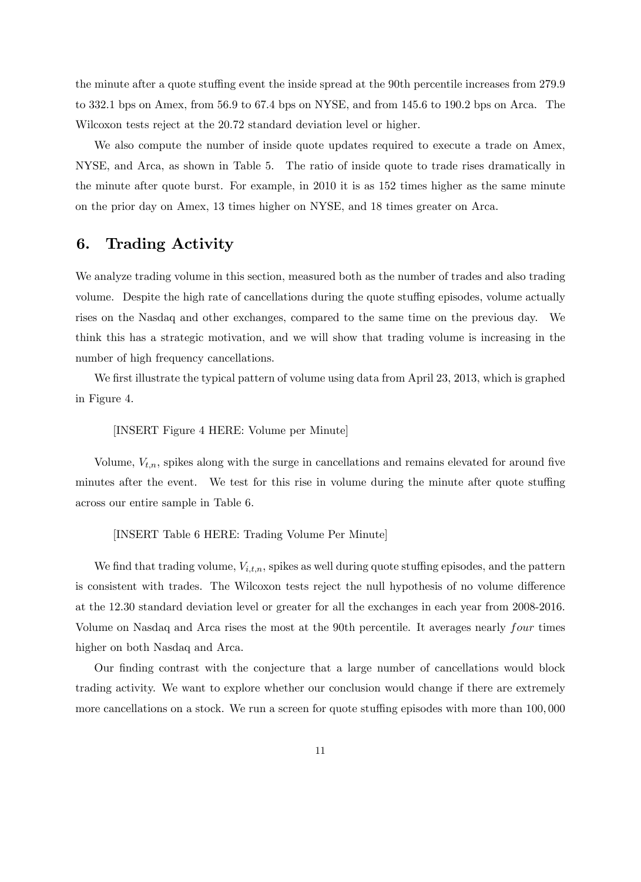the minute after a quote stuffing event the inside spread at the 90th percentile increases from 279.9 to 332:1 bps on Amex, from 56:9 to 67:4 bps on NYSE, and from 145:6 to 190:2 bps on Arca. The Wilcoxon tests reject at the 20:72 standard deviation level or higher.

We also compute the number of inside quote updates required to execute a trade on Amex, NYSE, and Arca, as shown in Table 5. The ratio of inside quote to trade rises dramatically in the minute after quote burst. For example, in 2010 it is as 152 times higher as the same minute on the prior day on Amex, 13 times higher on NYSE, and 18 times greater on Arca.

## 6. Trading Activity

We analyze trading volume in this section, measured both as the number of trades and also trading volume. Despite the high rate of cancellations during the quote stuffing episodes, volume actually rises on the Nasdaq and other exchanges, compared to the same time on the previous day. We think this has a strategic motivation, and we will show that trading volume is increasing in the number of high frequency cancellations.

We first illustrate the typical pattern of volume using data from April 23, 2013, which is graphed in Figure 4.

[INSERT Figure 4 HERE: Volume per Minute]

Volume,  $V_{t,n}$ , spikes along with the surge in cancellations and remains elevated for around five minutes after the event. We test for this rise in volume during the minute after quote stuffing across our entire sample in Table 6.

[INSERT Table 6 HERE: Trading Volume Per Minute]

We find that trading volume,  $V_{i,t,n}$ , spikes as well during quote stuffing episodes, and the pattern is consistent with trades. The Wilcoxon tests reject the null hypothesis of no volume difference at the 12:30 standard deviation level or greater for all the exchanges in each year from 2008-2016. Volume on Nasdaq and Arca rises the most at the 90th percentile. It averages nearly four times higher on both Nasdaq and Arca.

Our finding contrast with the conjecture that a large number of cancellations would block trading activity. We want to explore whether our conclusion would change if there are extremely more cancellations on a stock. We run a screen for quote stuffing episodes with more than 100,000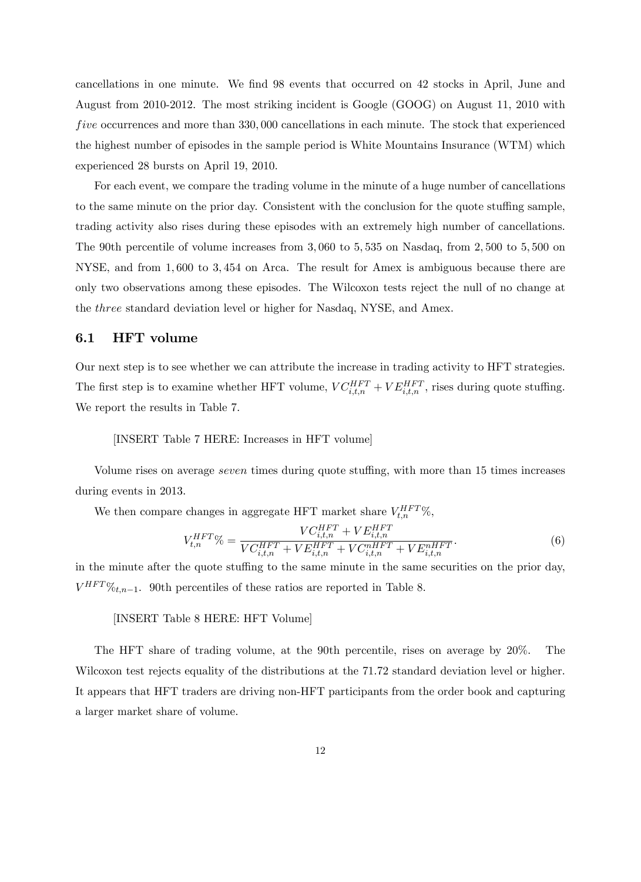cancellations in one minute. We find 98 events that occurred on 42 stocks in April, June and August from 2010-2012. The most striking incident is Google (GOOG) on August 11, 2010 with five occurrences and more than 330,000 cancellations in each minute. The stock that experienced the highest number of episodes in the sample period is White Mountains Insurance (WTM) which experienced 28 bursts on April 19, 2010.

For each event, we compare the trading volume in the minute of a huge number of cancellations to the same minute on the prior day. Consistent with the conclusion for the quote stuffing sample, trading activity also rises during these episodes with an extremely high number of cancellations. The 90th percentile of volume increases from 3,060 to 5,535 on Nasdaq, from 2,500 to 5,500 on NYSE, and from 1; 600 to 3; 454 on Arca. The result for Amex is ambiguous because there are only two observations among these episodes. The Wilcoxon tests reject the null of no change at the three standard deviation level or higher for Nasdaq, NYSE, and Amex.

### 6.1 HFT volume

Our next step is to see whether we can attribute the increase in trading activity to HFT strategies. The first step is to examine whether HFT volume,  $VC_{i,t,n}^{HFT} + VE_{i,t,n}^{HFT}$ , rises during quote stuffing. We report the results in Table 7.

#### [INSERT Table 7 HERE: Increases in HFT volume]

Volume rises on average *seven* times during quote stuffing, with more than 15 times increases during events in 2013.

We then compare changes in aggregate HFT market share  $V_{t,n}^{HFT}$ %,

$$
V_{t,n}^{HFT} \% = \frac{VC_{i,t,n}^{HFT} + VE_{i,t,n}^{HFT}}{VC_{i,t,n}^{HFT} + VE_{i,t,n}^{HFT} + VC_{i,t,n}^{mHT} + VE_{i,t,n}^{mHT}}.
$$
\n(6)

in the minute after the quote stuffing to the same minute in the same securities on the prior day,  $V^{HFT}$ % $t,n-1$ . 90th percentiles of these ratios are reported in Table 8.

#### [INSERT Table 8 HERE: HFT Volume]

The HFT share of trading volume, at the 90th percentile, rises on average by 20%. The Wilcoxon test rejects equality of the distributions at the 71.72 standard deviation level or higher. It appears that HFT traders are driving non-HFT participants from the order book and capturing a larger market share of volume.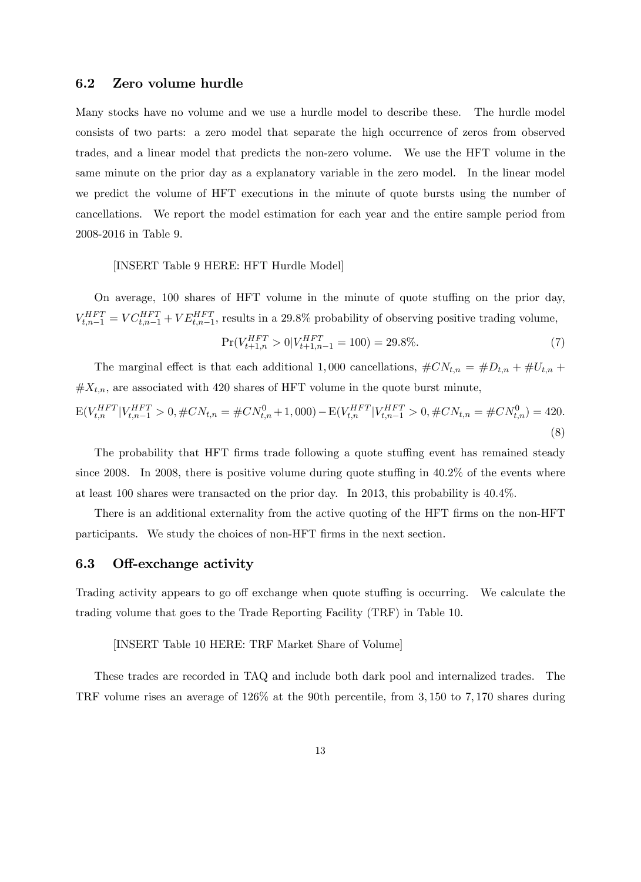### 6.2 Zero volume hurdle

Many stocks have no volume and we use a hurdle model to describe these. The hurdle model consists of two parts: a zero model that separate the high occurrence of zeros from observed trades, and a linear model that predicts the non-zero volume. We use the HFT volume in the same minute on the prior day as a explanatory variable in the zero model. In the linear model we predict the volume of HFT executions in the minute of quote bursts using the number of cancellations. We report the model estimation for each year and the entire sample period from 2008-2016 in Table 9.

#### [INSERT Table 9 HERE: HFT Hurdle Model]

On average, 100 shares of HFT volume in the minute of quote stuffing on the prior day,  $V_{t,n-1}^{HFT} = VC_{t,n-1}^{HFT} + VE_{t,n-1}^{HFT}$ , results in a 29.8% probability of observing positive trading volume,

$$
\Pr(V_{t+1,n}^{HFT} > 0 | V_{t+1,n-1}^{HFT} = 100) = 29.8\%.
$$
\n<sup>(7)</sup>

The marginal effect is that each additional 1,000 cancellations,  $\#CN_{t,n} = \#D_{t,n} + \#U_{t,n} +$  $#X_{t,n}$ , are associated with 420 shares of HFT volume in the quote burst minute,

$$
E(V_{t,n}^{HFT}|V_{t,n-1}^{HFT} > 0, \#CN_{t,n} = \#CN_{t,n}^0 + 1,000) - E(V_{t,n}^{HFT}|V_{t,n-1}^{HFT} > 0, \#CN_{t,n} = \#CN_{t,n}^0) = 420.
$$
\n(8)

The probability that HFT firms trade following a quote stuffing event has remained steady since 2008. In 2008, there is positive volume during quote stuffing in  $40.2\%$  of the events where at least 100 shares were transacted on the prior day. In 2013, this probability is 40:4%.

There is an additional externality from the active quoting of the HFT firms on the non-HFT participants. We study the choices of non-HFT firms in the next section.

### 6.3 Off-exchange activity

Trading activity appears to go off exchange when quote stuffing is occurring. We calculate the trading volume that goes to the Trade Reporting Facility (TRF) in Table 10.

#### [INSERT Table 10 HERE: TRF Market Share of Volume]

These trades are recorded in TAQ and include both dark pool and internalized trades. The TRF volume rises an average of  $126\%$  at the 90th percentile, from 3,150 to 7,170 shares during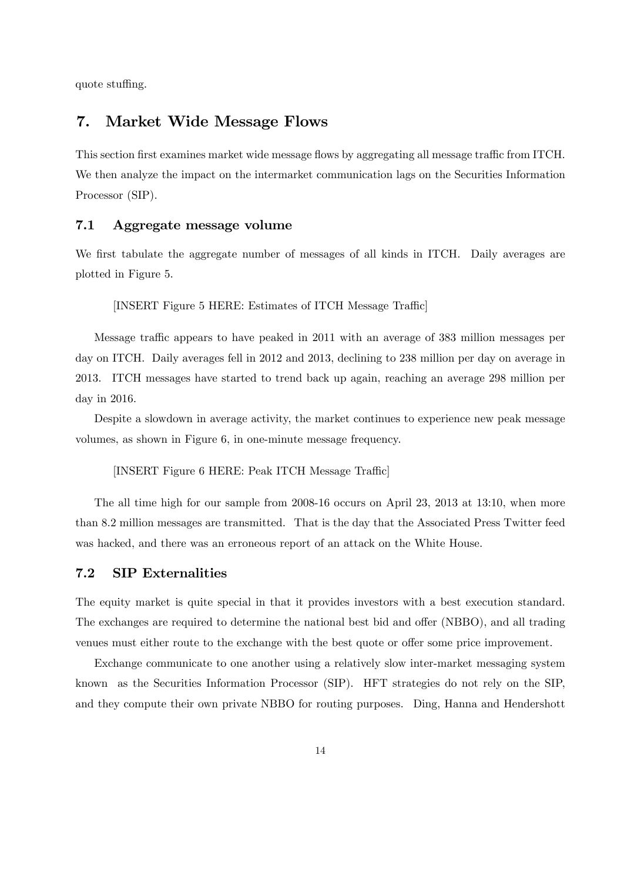quote stuffing.

## 7. Market Wide Message Flows

This section first examines market wide message flows by aggregating all message traffic from ITCH. We then analyze the impact on the intermarket communication lags on the Securities Information Processor (SIP).

### 7.1 Aggregate message volume

We first tabulate the aggregate number of messages of all kinds in ITCH. Daily averages are plotted in Figure 5.

[INSERT Figure 5 HERE: Estimates of ITCH Message Traffic]

Message traffic appears to have peaked in 2011 with an average of 383 million messages per day on ITCH. Daily averages fell in 2012 and 2013, declining to 238 million per day on average in 2013. ITCH messages have started to trend back up again, reaching an average 298 million per day in 2016.

Despite a slowdown in average activity, the market continues to experience new peak message volumes, as shown in Figure 6, in one-minute message frequency.

[INSERT Figure 6 HERE: Peak ITCH Message Traffic]

The all time high for our sample from 2008-16 occurs on April 23, 2013 at 13:10, when more than 8:2 million messages are transmitted. That is the day that the Associated Press Twitter feed was hacked, and there was an erroneous report of an attack on the White House.

### 7.2 SIP Externalities

The equity market is quite special in that it provides investors with a best execution standard. The exchanges are required to determine the national best bid and offer (NBBO), and all trading venues must either route to the exchange with the best quote or offer some price improvement.

Exchange communicate to one another using a relatively slow inter-market messaging system known as the Securities Information Processor (SIP). HFT strategies do not rely on the SIP, and they compute their own private NBBO for routing purposes. Ding, Hanna and Hendershott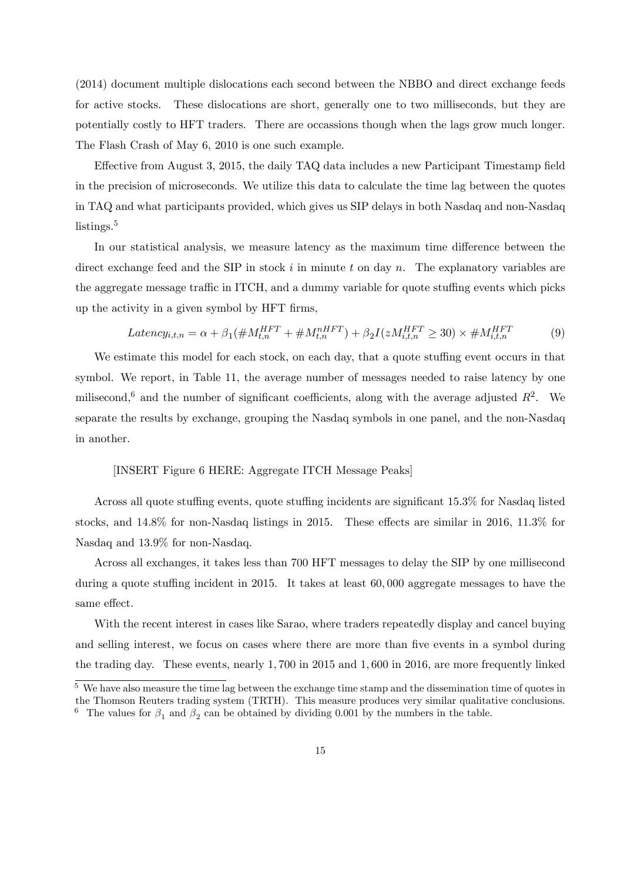(2014) document multiple dislocations each second between the NBBO and direct exchange feeds for active stocks. These dislocations are short, generally one to two milliseconds, but they are potentially costly to HFT traders. There are occassions though when the lags grow much longer. The Flash Crash of May 6, 2010 is one such example.

Effective from August 3, 2015, the daily TAQ data includes a new Participant Timestamp field in the precision of microseconds. We utilize this data to calculate the time lag between the quotes in TAQ and what participants provided, which gives us SIP delays in both Nasdaq and non-Nasdaq listings.<sup>5</sup>

In our statistical analysis, we measure latency as the maximum time difference between the direct exchange feed and the SIP in stock  $i$  in minute t on day n. The explanatory variables are the aggregate message traffic in ITCH, and a dummy variable for quote stuffing events which picks up the activity in a given symbol by HFT Örms,

$$
Latency_{i,t,n} = \alpha + \beta_1(\#M_{t,n}^{HFT} + \#M_{t,n}^{nHFT}) + \beta_2 I(zM_{i,t,n}^{HFT} \ge 30) \times \#M_{i,t,n}^{HFT}
$$
(9)

We estimate this model for each stock, on each day, that a quote stuffing event occurs in that symbol. We report, in Table 11, the average number of messages needed to raise latency by one milisecond,<sup>6</sup> and the number of significant coefficients, along with the average adjusted  $R^2$ . We separate the results by exchange, grouping the Nasdaq symbols in one panel, and the non-Nasdaq in another.

#### [INSERT Figure 6 HERE: Aggregate ITCH Message Peaks]

Across all quote stuffing events, quote stuffing incidents are significant 15.3% for Nasdaq listed stocks, and  $14.8\%$  for non-Nasdaq listings in 2015. These effects are similar in 2016, 11.3% for Nasdaq and 13:9% for non-Nasdaq.

Across all exchanges, it takes less than 700 HFT messages to delay the SIP by one millisecond during a quote stuffing incident in 2015. It takes at least  $60,000$  aggregate messages to have the same effect.

With the recent interest in cases like Sarao, where traders repeatedly display and cancel buying and selling interest, we focus on cases where there are more than five events in a symbol during the trading day. These events, nearly 1,700 in 2015 and 1,600 in 2016, are more frequently linked

 $5\text{ We have also measure the time lag between the exchange time stamp and the dissemination time of quotes in }$ the Thomson Reuters trading system (TRTH). This measure produces very similar qualitative conclusions. <sup>6</sup> The values for  $\beta_1$  and  $\beta_2$  can be obtained by dividing 0.001 by the numbers in the table.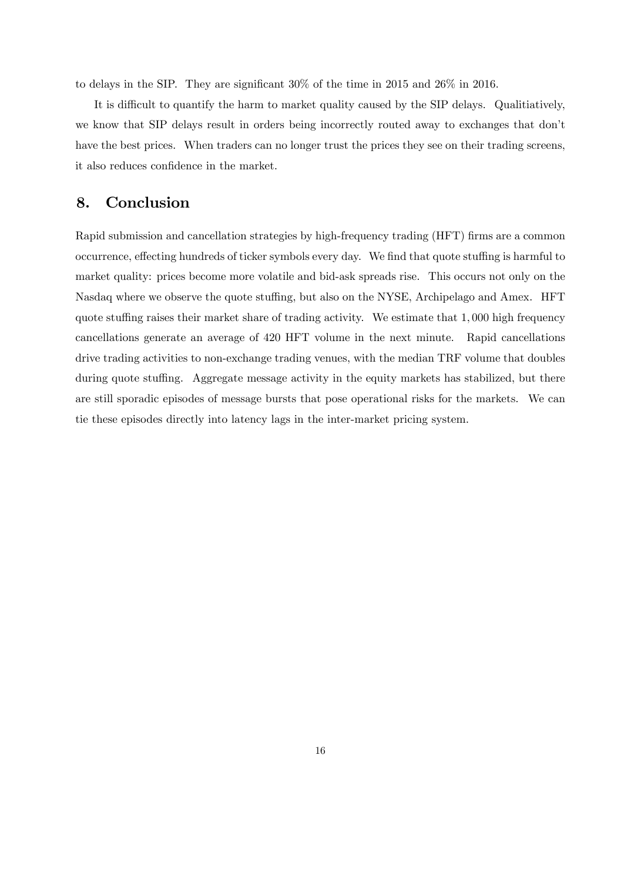to delays in the SIP. They are significant  $30\%$  of the time in 2015 and 26% in 2016.

It is difficult to quantify the harm to market quality caused by the SIP delays. Qualitiatively, we know that SIP delays result in orders being incorrectly routed away to exchanges that don't have the best prices. When traders can no longer trust the prices they see on their trading screens, it also reduces confidence in the market.

## 8. Conclusion

Rapid submission and cancellation strategies by high-frequency trading (HFT) firms are a common occurrence, effecting hundreds of ticker symbols every day. We find that quote stuffing is harmful to market quality: prices become more volatile and bid-ask spreads rise. This occurs not only on the Nasdaq where we observe the quote stuffing, but also on the NYSE, Archipelago and Amex. HFT quote stuffing raises their market share of trading activity. We estimate that 1,000 high frequency cancellations generate an average of 420 HFT volume in the next minute. Rapid cancellations drive trading activities to non-exchange trading venues, with the median TRF volume that doubles during quote stuffing. Aggregate message activity in the equity markets has stabilized, but there are still sporadic episodes of message bursts that pose operational risks for the markets. We can tie these episodes directly into latency lags in the inter-market pricing system.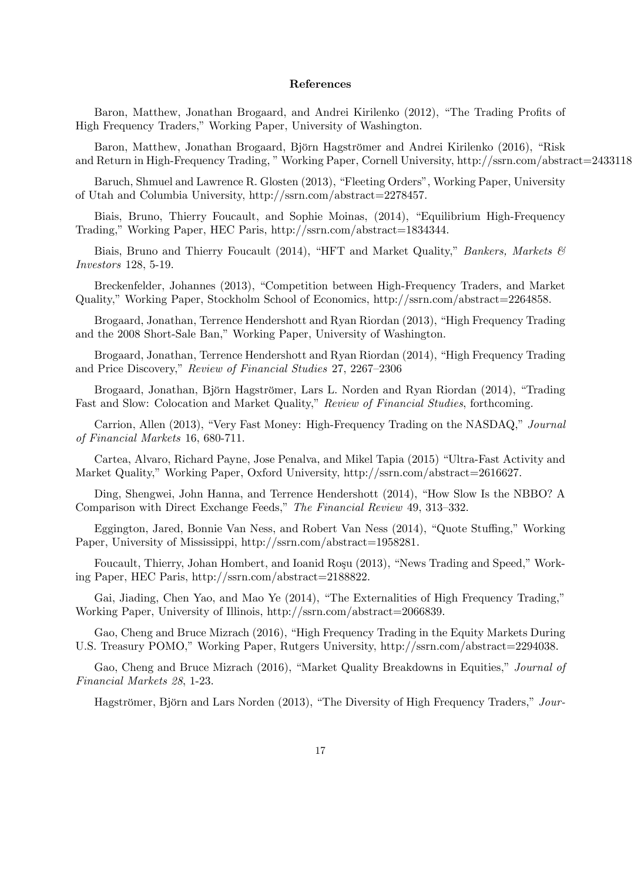#### References

Baron, Matthew, Jonathan Brogaard, and Andrei Kirilenko (2012), "The Trading Profits of High Frequency Traders," Working Paper, University of Washington.

Baron, Matthew, Jonathan Brogaard, Björn Hagströmer and Andrei Kirilenko (2016), "Risk and Return in High-Frequency Trading, "Working Paper, Cornell University, http://ssrn.com/abstract=2433118

Baruch, Shmuel and Lawrence R. Glosten (2013), "Fleeting Orders", Working Paper, University of Utah and Columbia University, http://ssrn.com/abstract=2278457.

Biais, Bruno, Thierry Foucault, and Sophie Moinas, (2014), "Equilibrium High-Frequency Trading," Working Paper, HEC Paris, http://ssrn.com/abstract=1834344.

Biais, Bruno and Thierry Foucault (2014), "HFT and Market Quality," Bankers, Markets  $\mathcal{C}$ Investors 128, 5-19.

Breckenfelder, Johannes (2013), "Competition between High-Frequency Traders, and Market Quality," Working Paper, Stockholm School of Economics, http://ssrn.com/abstract=2264858.

Brogaard, Jonathan, Terrence Hendershott and Ryan Riordan (2013), "High Frequency Trading and the 2008 Short-Sale Ban," Working Paper, University of Washington.

Brogaard, Jonathan, Terrence Hendershott and Ryan Riordan (2014), "High Frequency Trading and Price Discovery," Review of Financial Studies 27, 2267–2306

Brogaard, Jonathan, Björn Hagströmer, Lars L. Norden and Ryan Riordan (2014), "Trading Fast and Slow: Colocation and Market Quality," Review of Financial Studies, forthcoming.

Carrion, Allen (2013), "Very Fast Money: High-Frequency Trading on the NASDAQ," Journal of Financial Markets 16, 680-711.

Cartea, Alvaro, Richard Payne, Jose Penalva, and Mikel Tapia (2015) "Ultra-Fast Activity and Market Quality," Working Paper, Oxford University, http://ssrn.com/abstract=2616627.

Ding, Shengwei, John Hanna, and Terrence Hendershott (2014), "How Slow Is the NBBO? A Comparison with Direct Exchange Feeds," The Financial Review 49, 313–332.

Eggington, Jared, Bonnie Van Ness, and Robert Van Ness (2014), "Quote Stuffing," Working Paper, University of Mississippi, http://ssrn.com/abstract=1958281.

Foucault, Thierry, Johan Hombert, and Ioanid Roşu (2013), "News Trading and Speed," Working Paper, HEC Paris, http://ssrn.com/abstract=2188822.

Gai, Jiading, Chen Yao, and Mao Ye (2014), "The Externalities of High Frequency Trading," Working Paper, University of Illinois, http://ssrn.com/abstract=2066839.

Gao, Cheng and Bruce Mizrach (2016), "High Frequency Trading in the Equity Markets During U.S. Treasury POMO," Working Paper, Rutgers University, http://ssrn.com/abstract=2294038.

Gao, Cheng and Bruce Mizrach (2016), "Market Quality Breakdowns in Equities," Journal of Financial Markets 28, 1-23.

Hagströmer, Björn and Lars Norden (2013), "The Diversity of High Frequency Traders," Jour-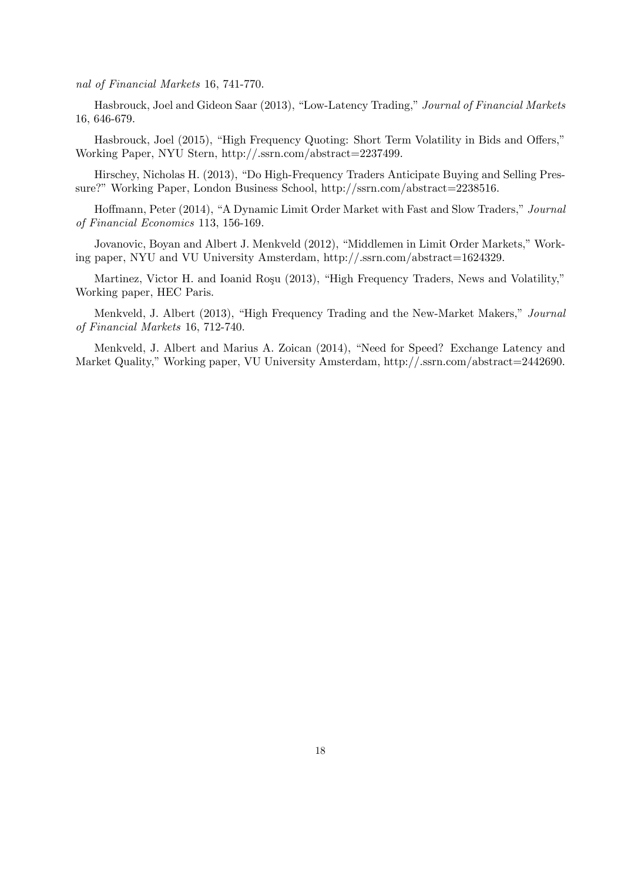nal of Financial Markets 16, 741-770.

Hasbrouck, Joel and Gideon Saar (2013), "Low-Latency Trading," Journal of Financial Markets 16, 646-679.

Hasbrouck, Joel (2015), "High Frequency Quoting: Short Term Volatility in Bids and Offers," Working Paper, NYU Stern, http://.ssrn.com/abstract=2237499.

Hirschey, Nicholas H. (2013), "Do High-Frequency Traders Anticipate Buying and Selling Pressure?" Working Paper, London Business School, http://ssrn.com/abstract=2238516.

Hoffmann, Peter (2014), "A Dynamic Limit Order Market with Fast and Slow Traders," Journal of Financial Economics 113, 156-169.

Jovanovic, Boyan and Albert J. Menkveld (2012), "Middlemen in Limit Order Markets," Working paper, NYU and VU University Amsterdam, http://.ssrn.com/abstract=1624329.

Martinez, Victor H. and Ioanid Roşu (2013), "High Frequency Traders, News and Volatility," Working paper, HEC Paris.

Menkveld, J. Albert (2013), "High Frequency Trading and the New-Market Makers," Journal of Financial Markets 16, 712-740.

Menkveld, J. Albert and Marius A. Zoican (2014), "Need for Speed? Exchange Latency and Market Quality," Working paper, VU University Amsterdam, http://.ssrn.com/abstract=2442690.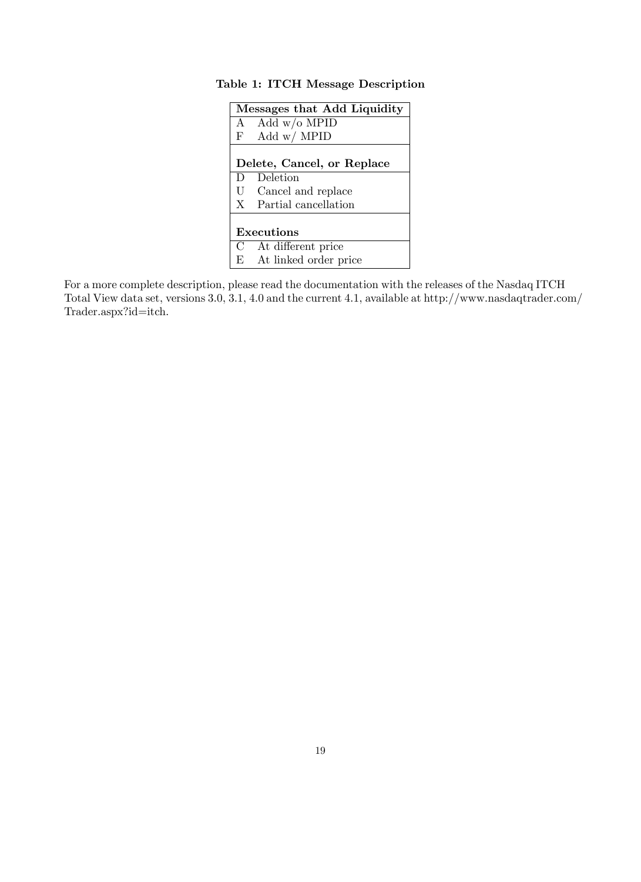|              | Messages that Add Liquidity |  |  |  |  |  |  |
|--------------|-----------------------------|--|--|--|--|--|--|
|              | A Add $w/o$ MPID            |  |  |  |  |  |  |
| $\mathbf{F}$ | Add $w/$ MPID               |  |  |  |  |  |  |
|              |                             |  |  |  |  |  |  |
|              | Delete, Cancel, or Replace  |  |  |  |  |  |  |
| D            | Deletion                    |  |  |  |  |  |  |
|              | U Cancel and replace        |  |  |  |  |  |  |
|              | X Partial cancellation      |  |  |  |  |  |  |
|              |                             |  |  |  |  |  |  |
|              | Executions                  |  |  |  |  |  |  |
|              | C At different price        |  |  |  |  |  |  |
|              | E At linked order price     |  |  |  |  |  |  |

## Table 1: ITCH Message Description

For a more complete description, please read the documentation with the releases of the Nasdaq ITCH Total View data set, versions 3.0, 3.1, 4.0 and the current 4.1, available at http://www.nasdaqtrader.com/ Trader.aspx?id=itch.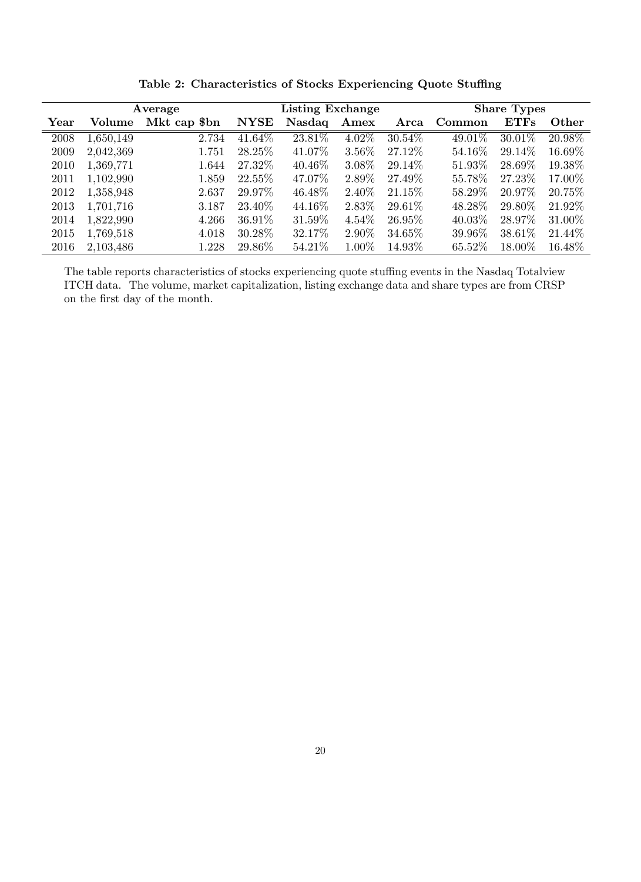| Average               |           |              |             | Listing Exchange |          |           |           | <b>Share Types</b> |         |  |
|-----------------------|-----------|--------------|-------------|------------------|----------|-----------|-----------|--------------------|---------|--|
| $\operatorname{Year}$ | Volume    | Mkt cap \$bn | <b>NYSE</b> | Nasdaq           | Amex     | Arca      | Common    | ETFs               | Other   |  |
| 2008                  | 1,650,149 | 2.734        | $41.64\%$   | 23.81%           | $4.02\%$ | $30.54\%$ | 49.01%    | $30.01\%$          | 20.98%  |  |
| 2009                  | 2,042,369 | $1.751\,$    | 28.25\%     | 41.07%           | 3.56%    | 27.12\%   | 54.16\%   | 29.14\%            | 16.69%  |  |
| 2010                  | 1,369,771 | 1.644        | 27.32\%     | 40.46\%          | 3.08%    | 29.14\%   | 51.93%    | 28.69%             | 19.38%  |  |
| 2011                  | 1,102,990 | 1.859        | 22.55%      | 47.07%           | 2.89%    | 27.49\%   | 55.78%    | 27.23%             | 17.00%  |  |
| 2012                  | 1,358,948 | 2.637        | 29.97\%     | 46.48%           | 2.40\%   | $21.15\%$ | 58.29\%   | 20.97\%            | 20.75%  |  |
| 2013                  | 1,701,716 | 3.187        | 23.40%      | 44.16\%          | 2.83\%   | 29.61\%   | 48.28%    | 29.80%             | 21.92%  |  |
| 2014                  | 1,822,990 | 4.266        | 36.91\%     | 31.59%           | $4.54\%$ | 26.95\%   | $40.03\%$ | 28.97\%            | 31.00%  |  |
| 2015                  | 1,769,518 | 4.018        | 30.28%      | 32.17%           | 2.90%    | 34.65%    | 39.96%    | 38.61\%            | 21.44\% |  |
| 2016                  | 2,103,486 | 1.228        | 29.86\%     | 54.21\%          | 1.00%    | 14.93%    | 65.52\%   | 18.00%             | 16.48\% |  |

Table 2: Characteristics of Stocks Experiencing Quote Stuffing

The table reports characteristics of stocks experiencing quote stuffing events in the Nasdaq Totalview ITCH data. The volume, market capitalization, listing exchange data and share types are from CRSP on the first day of the month.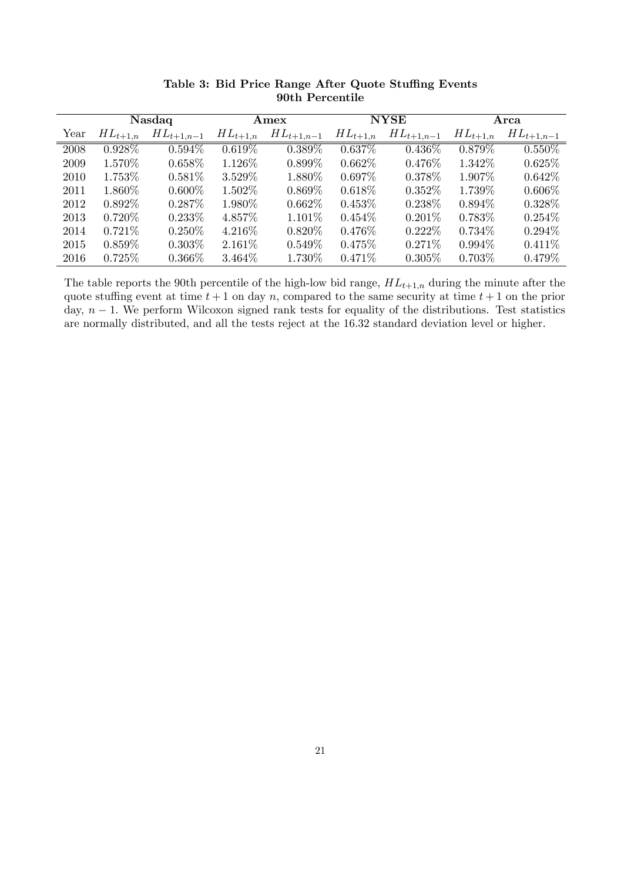|      | Nasdaq       |                | Amex         |                | <b>NYSE</b>  |                | Arca         |                |
|------|--------------|----------------|--------------|----------------|--------------|----------------|--------------|----------------|
| Year | $HL_{t+1,n}$ | $HL_{t+1,n-1}$ | $HL_{t+1,n}$ | $HL_{t+1,n-1}$ | $HL_{t+1,n}$ | $HL_{t+1,n-1}$ | $HL_{t+1,n}$ | $HL_{t+1,n-1}$ |
| 2008 | $0.928\%$    | $0.594\%$      | $0.619\%$    | $0.389\%$      | $0.637\%$    | $0.436\%$      | $0.879\%$    | $0.550\%$      |
| 2009 | $1.570\%$    | $0.658\%$      | $1.126\%$    | $0.899\%$      | $0.662\%$    | $0.476\%$      | 1.342\%      | $0.625\%$      |
| 2010 | 1.753\%      | $0.581\%$      | 3.529\%      | 1.880\%        | $0.697\%$    | $0.378\%$      | 1.907\%      | $0.642\%$      |
| 2011 | $1.860\%$    | $0.600\%$      | $1.502\%$    | $0.869\%$      | $0.618\%$    | $0.352\%$      | 1.739\%      | $0.606\%$      |
| 2012 | $0.892\%$    | $0.287\%$      | $1.980\%$    | $0.662\%$      | $0.453\%$    | $0.238\%$      | $0.894\%$    | $0.328\%$      |
| 2013 | $0.720\%$    | $0.233\%$      | $4.857\%$    | $1.101\%$      | $0.454\%$    | $0.201\%$      | $0.783\%$    | $0.254\%$      |
| 2014 | $0.721\%$    | $0.250\%$      | $4.216\%$    | $0.820\%$      | $0.476\%$    | $0.222\%$      | $0.734\%$    | $0.294\%$      |
| 2015 | $0.859\%$    | $0.303\%$      | $2.161\%$    | $0.549\%$      | 0.475%       | $0.271\%$      | $0.994\%$    | $0.411\%$      |
| 2016 | $0.725\%$    | 0.366\%        | $3.464\%$    | 1.730\%        | $0.471\%$    | $0.305\%$      | $0.703\%$    | $0.479\%$      |

Table 3: Bid Price Range After Quote Stuffing Events 90th Percentile

The table reports the 90th percentile of the high-low bid range,  $HL_{t+1,n}$  during the minute after the quote stuffing event at time  $t + 1$  on day n, compared to the same security at time  $t + 1$  on the prior day,  $n - 1$ . We perform Wilcoxon signed rank tests for equality of the distributions. Test statistics are normally distributed, and all the tests reject at the 16:32 standard deviation level or higher.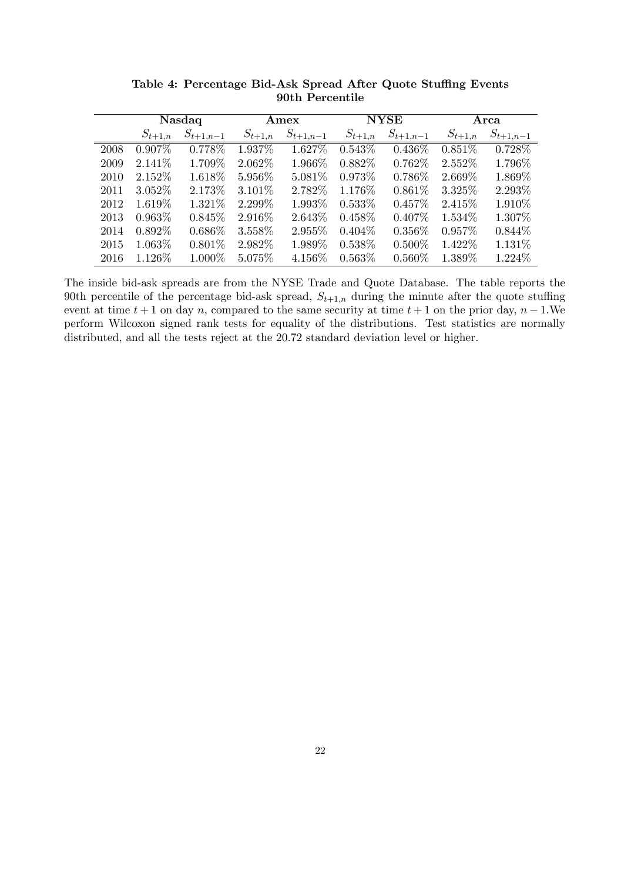|      | Nasdaq      |               | Amex        |               | <b>NYSE</b> |               | Arca        |               |
|------|-------------|---------------|-------------|---------------|-------------|---------------|-------------|---------------|
|      | $S_{t+1,n}$ | $S_{t+1,n-1}$ | $S_{t+1,n}$ | $S_{t+1,n-1}$ | $S_{t+1,n}$ | $S_{t+1,n-1}$ | $S_{t+1,n}$ | $S_{t+1,n-1}$ |
| 2008 | $0.907\%$   | $0.778\%$     | $1.937\%$   | $1.627\%$     | $0.543\%$   | $0.436\%$     | $0.851\%$   | $0.728\%$     |
| 2009 | $2.141\%$   | 1.709\%       | $2.062\%$   | $1.966\%$     | $0.882\%$   | $0.762\%$     | $2.552\%$   | 1.796\%       |
| 2010 | 2.152\%     | 1.618\%       | $5.956\%$   | $5.081\%$     | $0.973\%$   | $0.786\%$     | 2.669\%     | 1.869%        |
| 2011 | $3.052\%$   | 2.173\%       | $3.101\%$   | 2.782\%       | 1.176\%     | $0.861\%$     | $3.325\%$   | 2.293\%       |
| 2012 | 1.619\%     | 1.321\%       | 2.299%      | 1.993\%       | $0.533\%$   | $0.457\%$     | 2.415\%     | 1.910\%       |
| 2013 | $0.963\%$   | $0.845\%$     | $2.916\%$   | $2.643\%$     | $0.458\%$   | $0.407\%$     | $1.534\%$   | 1.307\%       |
| 2014 | $0.892\%$   | $0.686\%$     | 3.558\%     | 2.955\%       | $0.404\%$   | $0.356\%$     | $0.957\%$   | $0.844\%$     |
| 2015 | $1.063\%$   | $0.801\%$     | $2.982\%$   | 1.989%        | 0.538\%     | $0.500\%$     | 1.422\%     | 1.131\%       |
| 2016 | 1.126\%     | $1.000\%$     | $5.075\%$   | 4.156\%       | $0.563\%$   | $0.560\%$     | 1.389\%     | 1.224\%       |

Table 4: Percentage Bid-Ask Spread After Quote Stuffing Events 90th Percentile

The inside bid-ask spreads are from the NYSE Trade and Quote Database. The table reports the 90th percentile of the percentage bid-ask spread,  $S_{t+1,n}$  during the minute after the quote stuffing event at time  $t + 1$  on day n, compared to the same security at time  $t + 1$  on the prior day,  $n - 1$ . We perform Wilcoxon signed rank tests for equality of the distributions. Test statistics are normally distributed, and all the tests reject at the 20:72 standard deviation level or higher.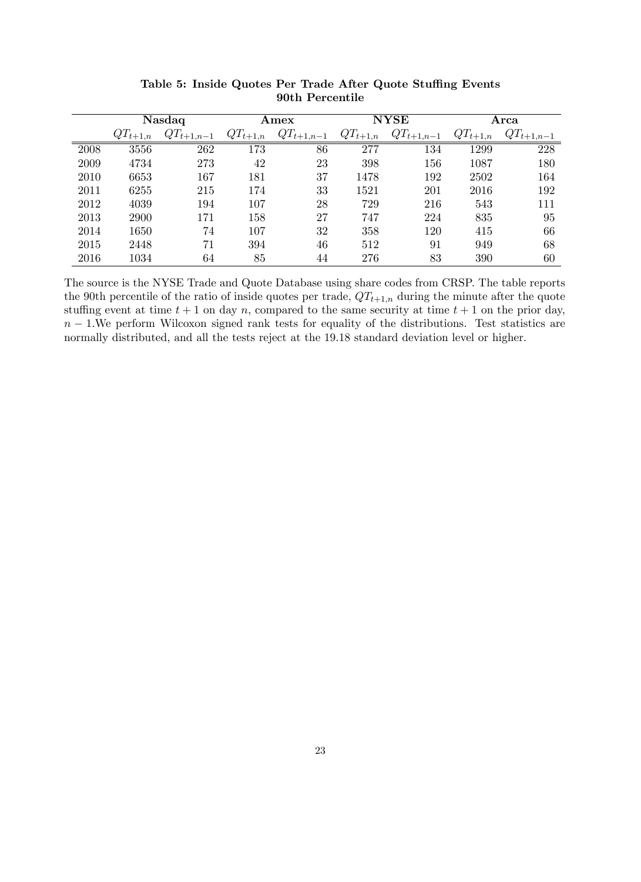|      | Nasdaq       |                | Amex         |                | <b>NYSE</b>  |                | Arca         |                |
|------|--------------|----------------|--------------|----------------|--------------|----------------|--------------|----------------|
|      | $QT_{t+1,n}$ | $QT_{t+1,n-1}$ | $QT_{t+1,n}$ | $QT_{t+1,n-1}$ | $QT_{t+1,n}$ | $QT_{t+1,n-1}$ | $QT_{t+1,n}$ | $QT_{t+1,n-1}$ |
| 2008 | 3556         | 262            | 173          | 86             | 277          | 134            | 1299         | 228            |
| 2009 | 4734         | 273            | 42           | 23             | 398          | 156            | 1087         | 180            |
| 2010 | 6653         | 167            | 181          | 37             | 1478         | 192            | 2502         | 164            |
| 2011 | 6255         | 215            | 174          | 33             | 1521         | 201            | 2016         | 192            |
| 2012 | 4039         | 194            | 107          | 28             | 729          | 216            | 543          | 111            |
| 2013 | 2900         | 171            | 158          | 27             | 747          | 224            | 835          | 95             |
| 2014 | 1650         | 74             | 107          | 32             | 358          | 120            | 415          | 66             |
| 2015 | 2448         | 71             | 394          | 46             | 512          | 91             | 949          | 68             |
| 2016 | 1034         | 64             | 85           | 44             | 276          | 83             | 390          | 60             |

Table 5: Inside Quotes Per Trade After Quote Stuffing Events 90th Percentile

The source is the NYSE Trade and Quote Database using share codes from CRSP. The table reports the 90th percentile of the ratio of inside quotes per trade,  $QT_{t+1,n}$  during the minute after the quote stuffing event at time  $t + 1$  on day n, compared to the same security at time  $t + 1$  on the prior day,  $n-1$ . We perform Wilcoxon signed rank tests for equality of the distributions. Test statistics are normally distributed, and all the tests reject at the 19:18 standard deviation level or higher.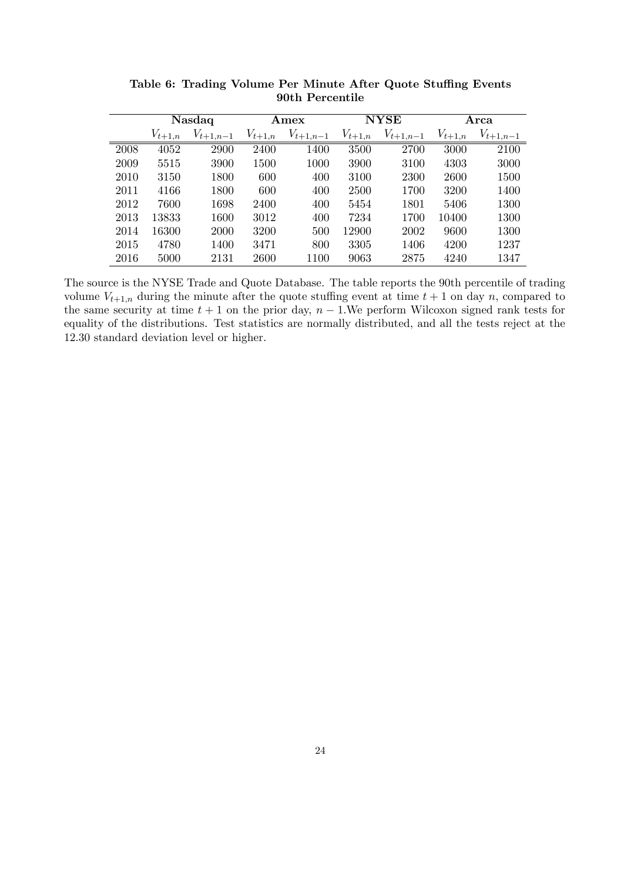|      | Nasdaq      |               | Amex        |               | <b>NYSE</b> |               | Arca        |               |
|------|-------------|---------------|-------------|---------------|-------------|---------------|-------------|---------------|
|      | $V_{t+1,n}$ | $V_{t+1,n-1}$ | $V_{t+1,n}$ | $V_{t+1,n-1}$ | $V_{t+1,n}$ | $V_{t+1,n-1}$ | $V_{t+1,n}$ | $V_{t+1,n-1}$ |
| 2008 | 4052        | 2900          | 2400        | 1400          | 3500        | 2700          | 3000        | 2100          |
| 2009 | 5515        | 3900          | 1500        | 1000          | 3900        | 3100          | 4303        | 3000          |
| 2010 | 3150        | 1800          | 600         | 400           | 3100        | 2300          | 2600        | 1500          |
| 2011 | 4166        | 1800          | 600         | 400           | <b>2500</b> | 1700          | 3200        | 1400          |
| 2012 | 7600        | 1698          | 2400        | 400           | 5454        | 1801          | 5406        | 1300          |
| 2013 | 13833       | 1600          | 3012        | 400           | 7234        | 1700          | 10400       | 1300          |
| 2014 | 16300       | <b>2000</b>   | 3200        | 500           | 12900       | 2002          | 9600        | 1300          |
| 2015 | 4780        | 1400          | 3471        | 800           | 3305        | 1406          | 4200        | 1237          |
| 2016 | 5000        | 2131          | 2600        | 1100          | 9063        | 2875          | 4240        | 1347          |

Table 6: Trading Volume Per Minute After Quote Stuffing Events 90th Percentile

The source is the NYSE Trade and Quote Database. The table reports the 90th percentile of trading volume  $V_{t+1,n}$  during the minute after the quote stuffing event at time  $t+1$  on day n, compared to the same security at time  $t + 1$  on the prior day,  $n - 1$ . We perform Wilcoxon signed rank tests for equality of the distributions. Test statistics are normally distributed, and all the tests reject at the 12:30 standard deviation level or higher.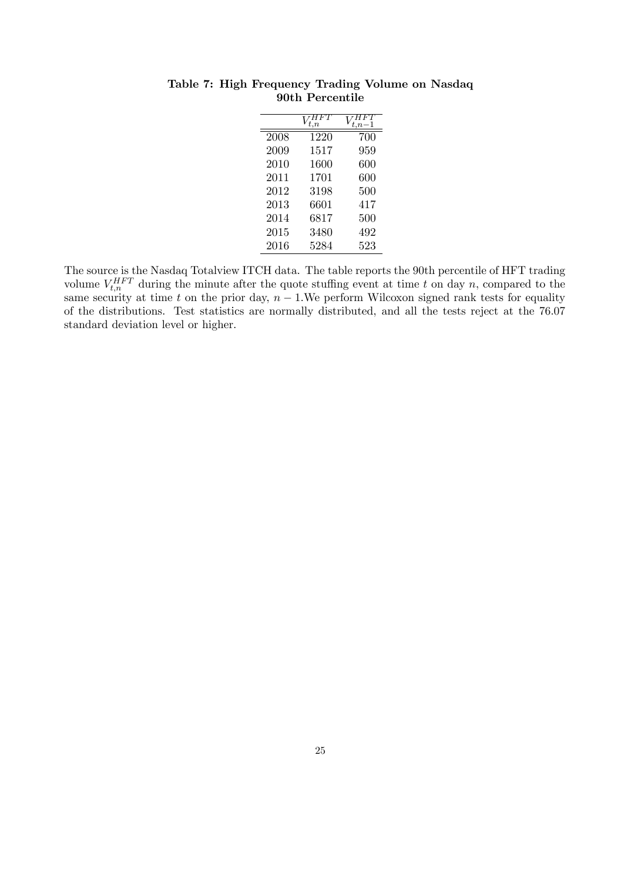|      | t.n  |     |
|------|------|-----|
| 2008 | 1220 | 700 |
| 2009 | 1517 | 959 |
| 2010 | 1600 | 600 |
| 2011 | 1701 | 600 |
| 2012 | 3198 | 500 |
| 2013 | 6601 | 417 |
| 2014 | 6817 | 500 |
| 2015 | 3480 | 492 |
| 2016 | 5284 | 523 |

Table 7: High Frequency Trading Volume on Nasdaq 90th Percentile

The source is the Nasdaq Totalview ITCH data. The table reports the 90th percentile of HFT trading volume  $V_{t,n}^{HFT}$  during the minute after the quote stuffing event at time t on day n, compared to the same security at time t on the prior day,  $n-1$ . We perform Wilcoxon signed rank tests for equality of the distributions. Test statistics are normally distributed, and all the tests reject at the 76:07 standard deviation level or higher.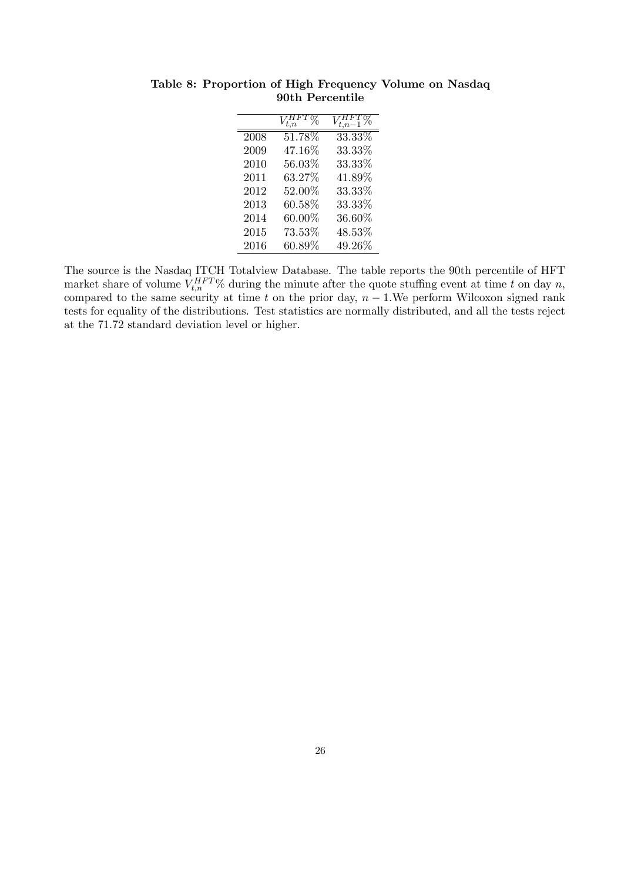| 2008 | $51.78\%$ | 33.33%    |
|------|-----------|-----------|
| 2009 | 47.16%    | 33.33%    |
| 2010 | 56.03%    | 33.33%    |
| 2011 | 63.27%    | 41.89%    |
| 2012 | 52.00%    | 33.33%    |
| 2013 | $60.58\%$ | 33.33%    |
| 2014 | $60.00\%$ | 36.60%    |
| 2015 | 73.53%    | 48.53%    |
| 2016 | $60.89\%$ | $49.26\%$ |

Table 8: Proportion of High Frequency Volume on Nasdaq 90th Percentile

The source is the Nasdaq ITCH Totalview Database. The table reports the 90th percentile of HFT market share of volume  $V_{t,n}^{HFT}$ % during the minute after the quote stuffing event at time t on day n, compared to the same security at time t on the prior day,  $n - 1$ . We perform Wilcoxon signed rank tests for equality of the distributions. Test statistics are normally distributed, and all the tests reject at the 71:72 standard deviation level or higher.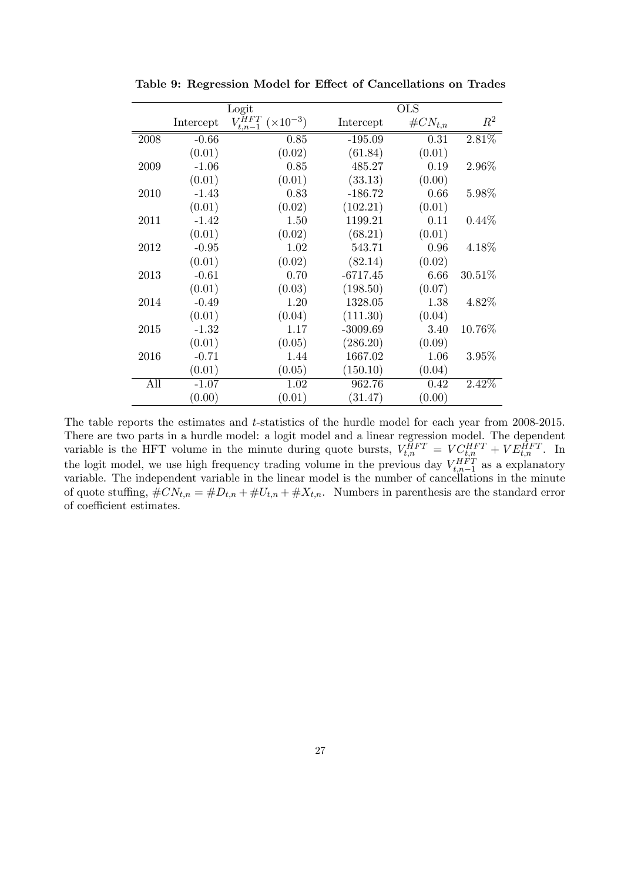|      |           | Logit                                   |            | <b>OLS</b>   |          |  |  |
|------|-----------|-----------------------------------------|------------|--------------|----------|--|--|
|      | Intercept | $V_{t,n-1}^{HFT}$<br>$(\times 10^{-3})$ | Intercept  | $\#CN_{t,n}$ | $\,R^2$  |  |  |
| 2008 | $-0.66$   | 0.85                                    | $-195.09$  | 0.31         | 2.81%    |  |  |
|      | (0.01)    | (0.02)                                  | (61.84)    | (0.01)       |          |  |  |
| 2009 | $-1.06$   | 0.85                                    | 485.27     | 0.19         | 2.96%    |  |  |
|      | (0.01)    | (0.01)                                  | (33.13)    | (0.00)       |          |  |  |
| 2010 | $-1.43$   | 0.83                                    | $-186.72$  | 0.66         | 5.98%    |  |  |
|      | (0.01)    | (0.02)                                  | (102.21)   | (0.01)       |          |  |  |
| 2011 | $-1.42$   | 1.50                                    | 1199.21    | 0.11         | $0.44\%$ |  |  |
|      | (0.01)    | (0.02)                                  | (68.21)    | (0.01)       |          |  |  |
| 2012 | $-0.95$   | 1.02                                    | 543.71     | 0.96         | 4.18%    |  |  |
|      | (0.01)    | (0.02)                                  | (82.14)    | (0.02)       |          |  |  |
| 2013 | $-0.61$   | 0.70                                    | $-6717.45$ | 6.66         | 30.51%   |  |  |
|      | (0.01)    | (0.03)                                  | (198.50)   | (0.07)       |          |  |  |
| 2014 | $-0.49$   | 1.20                                    | 1328.05    | 1.38         | 4.82%    |  |  |
|      | (0.01)    | (0.04)                                  | (111.30)   | (0.04)       |          |  |  |
| 2015 | $-1.32$   | 1.17                                    | $-3009.69$ | 3.40         | 10.76%   |  |  |
|      | (0.01)    | (0.05)                                  | (286.20)   | (0.09)       |          |  |  |
| 2016 | $-0.71$   | 1.44                                    | 1667.02    | 1.06         | $3.95\%$ |  |  |
|      | (0.01)    | (0.05)                                  | (150.10)   | (0.04)       |          |  |  |
| All  | $-1.07$   | 1.02                                    | 962.76     | 0.42         | 2.42%    |  |  |
|      | (0.00)    | (0.01)                                  | (31.47)    | (0.00)       |          |  |  |

Table 9: Regression Model for Effect of Cancellations on Trades

The table reports the estimates and *t*-statistics of the hurdle model for each year from 2008-2015. There are two parts in a hurdle model: a logit model and a linear regression model. The dependent variable is the HFT volume in the minute during quote bursts,  $V_{t,n}^{HFT} = VC_{t,n}^{HFT} + VE_{t,n}^{HFT}$ . In the logit model, we use high frequency trading volume in the previous day  $V_{t,n-1}^{HFT}$  as a explanatory variable. The independent variable in the linear model is the number of cancellations in the minute of quote stuffing,  $\#CN_{t,n} = \#D_{t,n} + \#U_{t,n} + \#X_{t,n}$ . Numbers in parenthesis are the standard error of coefficient estimates.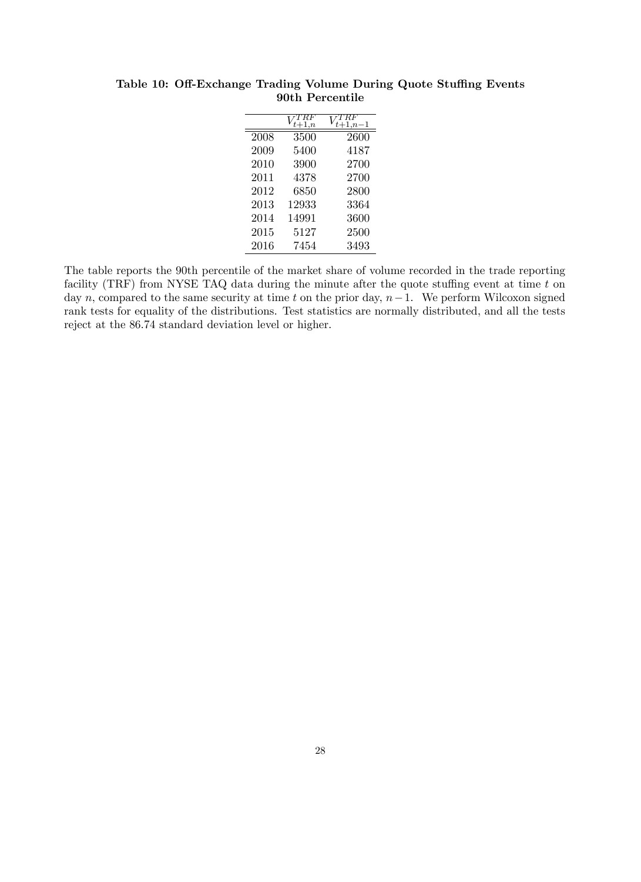|      | $_{t+1,n}$ | $-1, n-1$ |
|------|------------|-----------|
| 2008 | 3500       | 2600      |
| 2009 | 5400       | 4187      |
| 2010 | 3900       | 2700      |
| 2011 | 4378       | 2700      |
| 2012 | 6850       | 2800      |
| 2013 | 12933      | 3364      |
| 2014 | 14991      | 3600      |
| 2015 | 5127       | 2500      |
| 2016 | 7454       | 3493      |

Table 10: Off-Exchange Trading Volume During Quote Stuffing Events 90th Percentile

The table reports the 90th percentile of the market share of volume recorded in the trade reporting facility (TRF) from NYSE TAQ data during the minute after the quote stuffing event at time  $t$  on day n, compared to the same security at time t on the prior day,  $n-1$ . We perform Wilcoxon signed rank tests for equality of the distributions. Test statistics are normally distributed, and all the tests reject at the 86:74 standard deviation level or higher.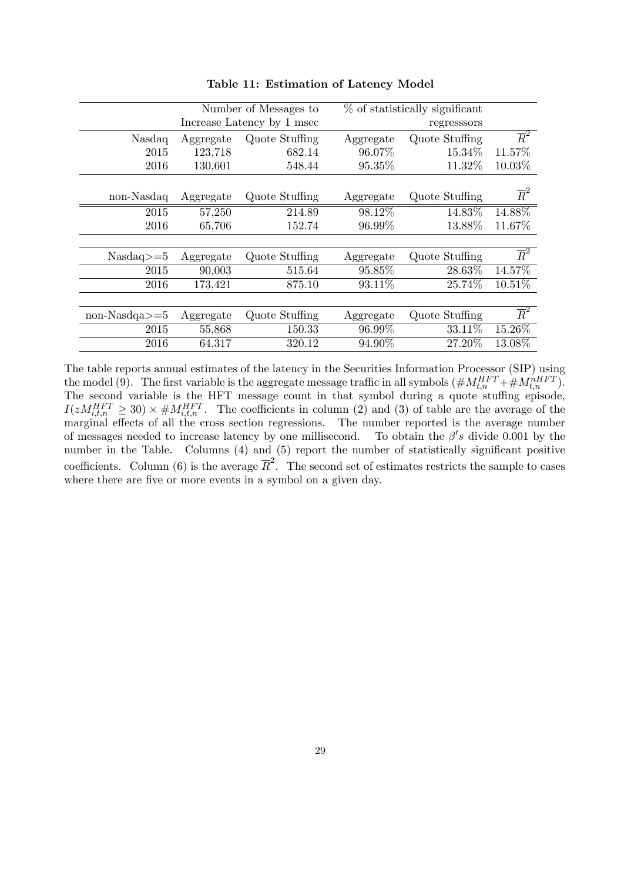|                    |           | Number of Messages to      |           | $%$ of statistically significant |                  |
|--------------------|-----------|----------------------------|-----------|----------------------------------|------------------|
|                    |           | Increase Latency by 1 msec |           | regresssors                      |                  |
| Nasdaq             | Aggregate | Quote Stuffing             | Aggregate | Quote Stuffing                   | $\overline{R}^2$ |
| 2015               | 123,718   | 682.14                     | 96.07%    | 15.34%                           | 11.57%           |
| 2016               | 130,601   | 548.44                     | 95.35%    | 11.32%                           | 10.03%           |
|                    |           |                            |           |                                  |                  |
| non-Nasdaq         | Aggregate | Quote Stuffing             | Aggregate | Quote Stuffing                   | $\overline{R}^2$ |
| 2015               | 57,250    | 214.89                     | 98.12%    | 14.83%                           | 14.88%           |
| 2016               | 65,706    | 152.74                     | 96.99%    | 13.88%                           | 11.67%           |
|                    |           |                            |           |                                  |                  |
| $Nasdaq>=5$        | Aggregate | Quote Stuffing             | Aggregate | Quote Stuffing                   | $\overline{R}^2$ |
| 2015               | 90,003    | 515.64                     | 95.85%    | 28.63%                           | 14.57%           |
| 2016               | 173,421   | 875.10                     | 93.11%    | 25.74%                           | 10.51%           |
|                    |           |                            |           |                                  |                  |
| $non-Nasda \geq 5$ | Aggregate | Quote Stuffing             | Aggregate | Quote Stuffing                   | $\overline{R}^2$ |
| 2015               | 55,868    | 150.33                     | 96.99%    | 33.11%                           | 15.26%           |
| 2016               | 64,317    | 320.12                     | 94.90%    | 27.20%                           | 13.08%           |

Table 11: Estimation of Latency Model

The table reports annual estimates of the latency in the Securities Information Processor (SIP) using the model (9). The first variable is the aggregate message traffic in all symbols  $(\#M_{t,n}^{HFT}+\#M_{t,n}^{nHFT})$ . The second variable is the HFT message count in that symbol during a quote stuffing episode,  $I(zM_{i,t,n}^{HFT} \geq 30) \times \# M_{i,t,n}^{HFT}$ . The coefficients in column (2) and (3) of table are the average of the marginal effects of all the cross section regressions. The number reported is the average number of messages needed to increase latency by one millisecond. To obtain the  $\beta's$  divide 0.001 by the number in the Table. Columns  $(4)$  and  $(5)$  report the number of statistically significant positive coefficients. Column (6) is the average  $\overline{R}^2$ . The second set of estimates restricts the sample to cases where there are five or more events in a symbol on a given day.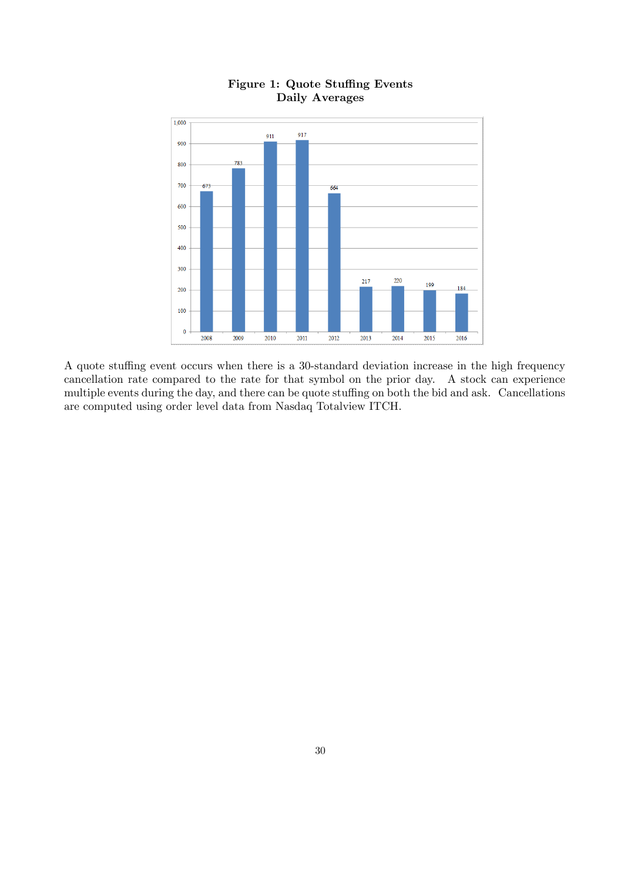

## Figure 1: Quote Stuffing Events Daily Averages

A quote stuffing event occurs when there is a 30-standard deviation increase in the high frequency cancellation rate compared to the rate for that symbol on the prior day. A stock can experience multiple events during the day, and there can be quote stuffing on both the bid and ask. Cancellations are computed using order level data from Nasdaq Totalview ITCH.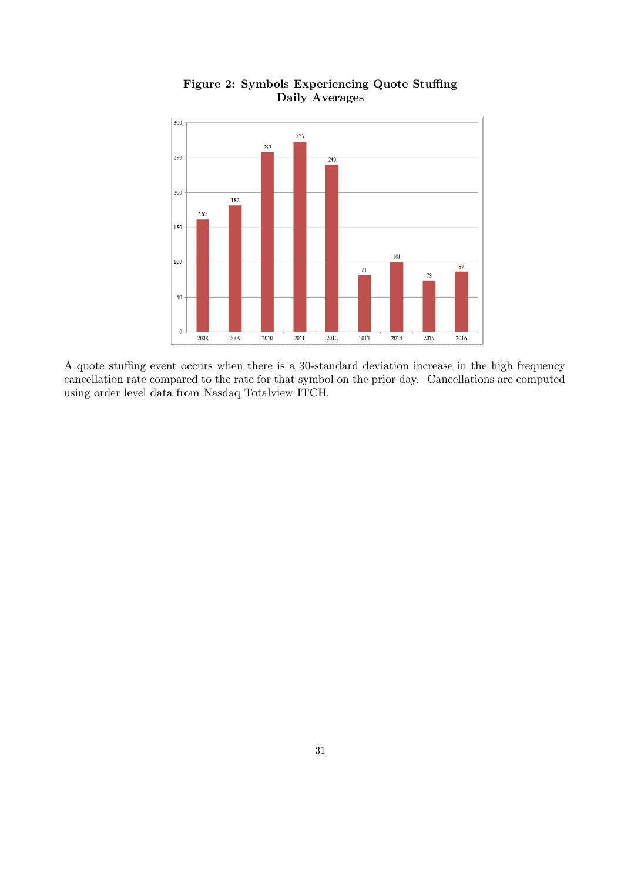

Figure 2: Symbols Experiencing Quote Stuffing Daily Averages

A quote stuffing event occurs when there is a 30-standard deviation increase in the high frequency cancellation rate compared to the rate for that symbol on the prior day. Cancellations are computed using order level data from Nasdaq Totalview ITCH.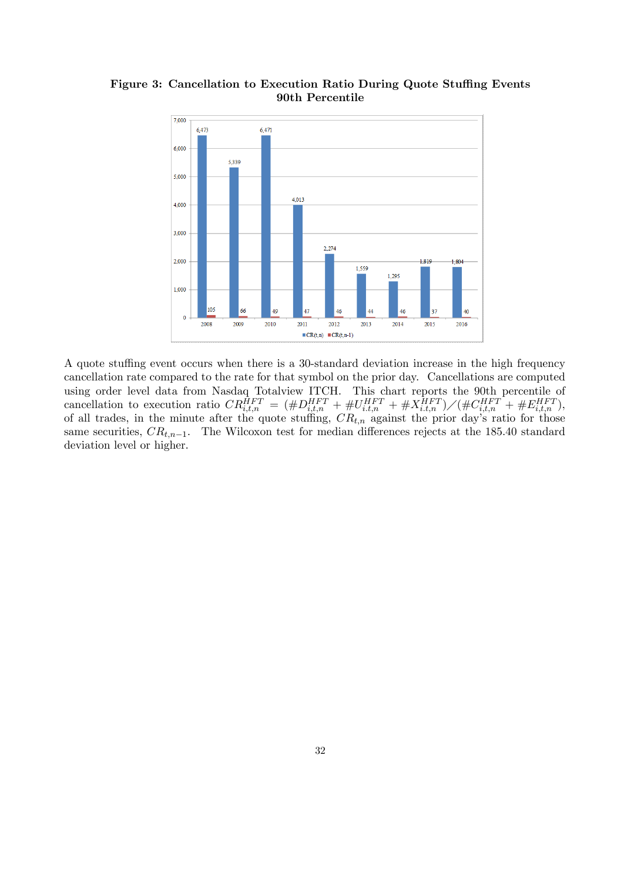Figure 3: Cancellation to Execution Ratio During Quote Stuffing Events 90th Percentile



A quote stuffing event occurs when there is a 30-standard deviation increase in the high frequency cancellation rate compared to the rate for that symbol on the prior day. Cancellations are computed using order level data from Nasdaq Totalview ITCH. This chart reports the 90th percentile of cancellation to execution ratio  $CR_{i,t,n}^{HFT} = (\#D_{i,t,n}^{HFT} + \#U_{i,t,n}^{HFT} + \#X_{i,t,n}^{HFT})/(\#C_{i,t,n}^{HFT} + \#E_{i,t,n}^{HFT}),$ of all trades, in the minute after the quote stuffing,  $CR_{t,n}$  against the prior day's ratio for those same securities,  $CR_{t,n-1}$ . The Wilcoxon test for median differences rejects at the 185.40 standard deviation level or higher.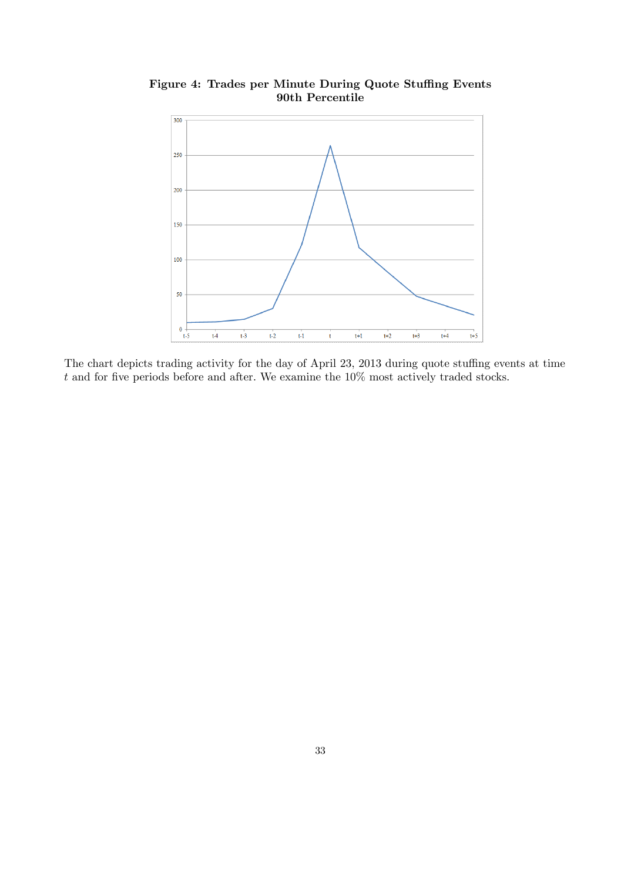

Figure 4: Trades per Minute During Quote Stuffing Events 90th Percentile

The chart depicts trading activity for the day of April 23, 2013 during quote stuffing events at time  $t$  and for five periods before and after. We examine the  $10\%$  most actively traded stocks.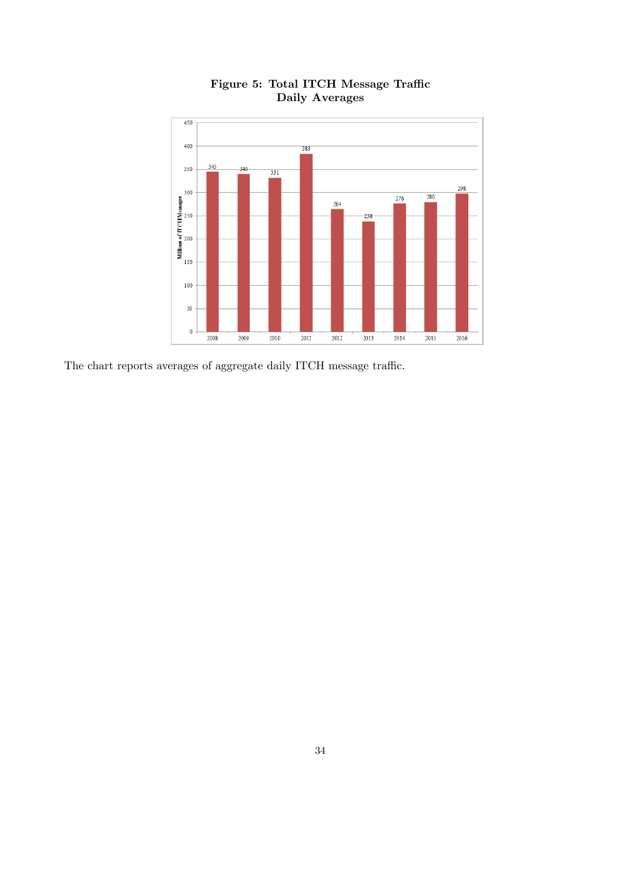

Figure 5: Total ITCH Message Traffic Daily Averages

The chart reports averages of aggregate daily ITCH message traffic.  $\;$